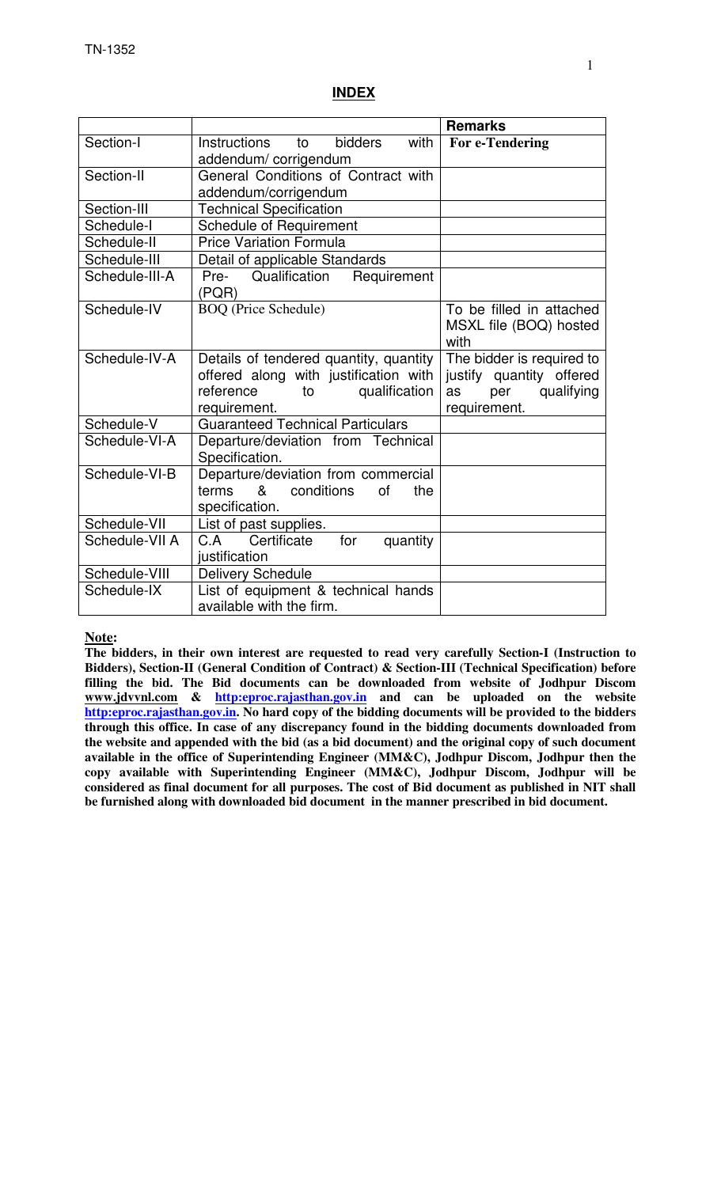#### **INDEX**

|                |                                              | <b>Remarks</b>            |
|----------------|----------------------------------------------|---------------------------|
| Section-I      | <b>bidders</b><br>with<br>Instructions<br>to | For e-Tendering           |
|                | addendum/corrigendum                         |                           |
| Section-II     | General Conditions of Contract with          |                           |
|                | addendum/corrigendum                         |                           |
| Section-III    | <b>Technical Specification</b>               |                           |
| Schedule-I     | <b>Schedule of Requirement</b>               |                           |
| Schedule-II    | <b>Price Variation Formula</b>               |                           |
| Schedule-III   | Detail of applicable Standards               |                           |
| Schedule-III-A | Pre- Qualification<br>Requirement            |                           |
|                | (PQR)                                        |                           |
| Schedule-IV    | <b>BOQ</b> (Price Schedule)                  | To be filled in attached  |
|                |                                              | MSXL file (BOQ) hosted    |
|                |                                              | with                      |
| Schedule-IV-A  | Details of tendered quantity, quantity       | The bidder is required to |
|                | offered along with justification with        | justify quantity offered  |
|                | reference<br>qualification<br>to             | qualifying<br>per<br>as   |
|                | requirement.                                 | requirement.              |
| Schedule-V     | <b>Guaranteed Technical Particulars</b>      |                           |
| Schedule-VI-A  | Departure/deviation from Technical           |                           |
|                | Specification.                               |                           |
| Schedule-VI-B  | Departure/deviation from commercial          |                           |
|                | &<br>conditions<br>terms<br>οf<br>the        |                           |
|                | specification.                               |                           |
| Schedule-VII   | List of past supplies.                       |                           |
| Schedule-VII A | for<br>C.A Certificate<br>quantity           |                           |
|                | justification                                |                           |
| Schedule-VIII  | <b>Delivery Schedule</b>                     |                           |
| Schedule-IX    | List of equipment & technical hands          |                           |
|                | available with the firm.                     |                           |

#### **Note:**

**The bidders, in their own interest are requested to read very carefully Section-I (Instruction to Bidders), Section-II (General Condition of Contract) & Section-III (Technical Specification) before filling the bid. The Bid documents can be downloaded from website of Jodhpur Discom www.jdvvnl.com & http:eproc.rajasthan.gov.in and can be uploaded on the website http:eproc.rajasthan.gov.in. No hard copy of the bidding documents will be provided to the bidders through this office. In case of any discrepancy found in the bidding documents downloaded from the website and appended with the bid (as a bid document) and the original copy of such document available in the office of Superintending Engineer (MM&C), Jodhpur Discom, Jodhpur then the copy available with Superintending Engineer (MM&C), Jodhpur Discom, Jodhpur will be considered as final document for all purposes. The cost of Bid document as published in NIT shall be furnished along with downloaded bid document in the manner prescribed in bid document.**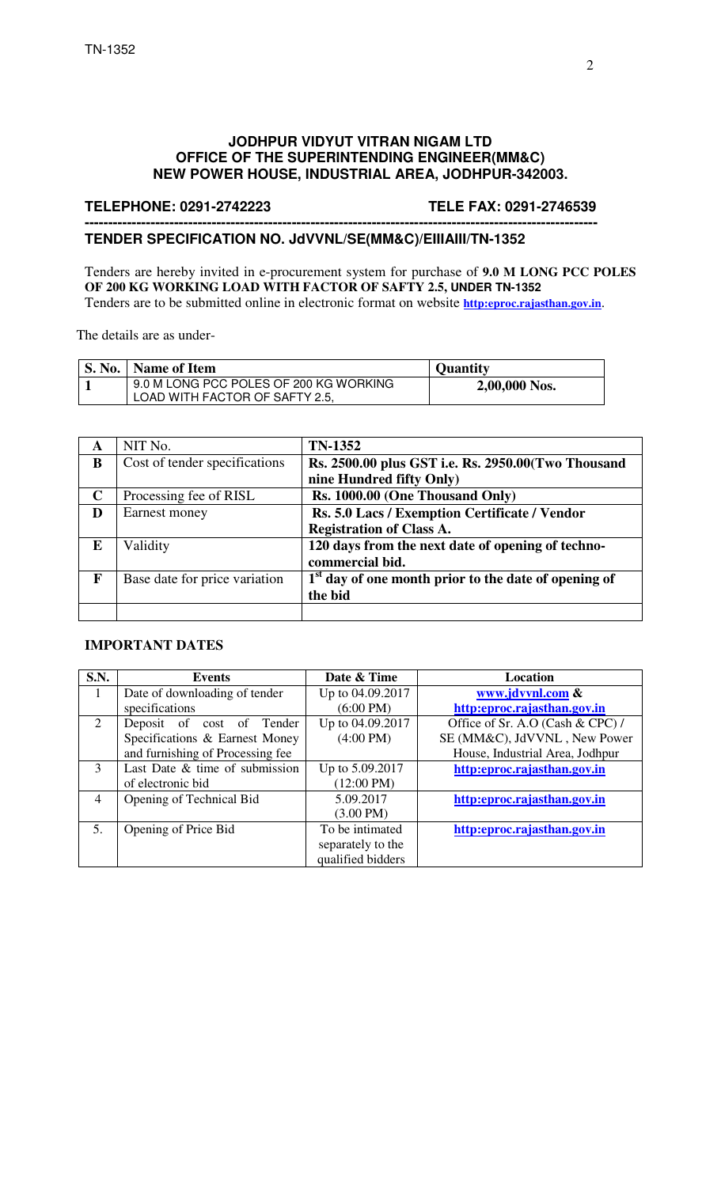#### **JODHPUR VIDYUT VITRAN NIGAM LTD OFFICE OF THE SUPERINTENDING ENGINEER(MM&C) NEW POWER HOUSE, INDUSTRIAL AREA, JODHPUR-342003.**

#### **TELEPHONE: 0291-2742223 TELE FAX: 0291-2746539**

#### **------------------------------------------------------------------------------------------------------------- TENDER SPECIFICATION NO. JdVVNL/SE(MM&C)/EIIIAIII/TN-1352**

Tenders are hereby invited in e-procurement system for purchase of **9.0 M LONG PCC POLES OF 200 KG WORKING LOAD WITH FACTOR OF SAFTY 2.5, UNDER TN-1352**  Tenders are to be submitted online in electronic format on website **http:eproc.rajasthan.gov.in**.

The details are as under-

| <b>S. No.</b> | Name of Item                                                             | <b>Quantity</b> |
|---------------|--------------------------------------------------------------------------|-----------------|
|               | 9.0 M LONG PCC POLES OF 200 KG WORKING<br>LOAD WITH FACTOR OF SAFTY 2.5, | 2,00,000 Nos.   |

| A           | NIT No.                       | <b>TN-1352</b>                                         |
|-------------|-------------------------------|--------------------------------------------------------|
| B           | Cost of tender specifications | Rs. 2500.00 plus GST i.e. Rs. 2950.00(Two Thousand     |
|             |                               | nine Hundred fifty Only)                               |
| $\mathbf C$ | Processing fee of RISL        | Rs. 1000.00 (One Thousand Only)                        |
| D           | Earnest money                 | Rs. 5.0 Lacs / Exemption Certificate / Vendor          |
|             |                               | <b>Registration of Class A.</b>                        |
| E           | Validity                      | 120 days from the next date of opening of techno-      |
|             |                               | commercial bid.                                        |
| F           | Base date for price variation | $1st$ day of one month prior to the date of opening of |
|             |                               | the bid                                                |
|             |                               |                                                        |

#### **IMPORTANT DATES**

| <b>S.N.</b> | <b>Events</b>                    | Date & Time          | Location                         |
|-------------|----------------------------------|----------------------|----------------------------------|
| 1           | Date of downloading of tender    | Up to 04.09.2017     | www.jdvvnl.com &                 |
|             | specifications                   | $(6:00 \text{ PM})$  | http:eproc.rajasthan.gov.in      |
| 2           | Deposit of cost of Tender        | Up to 04.09.2017     | Office of Sr. A.O (Cash & CPC) / |
|             | Specifications & Earnest Money   | $(4:00 \text{ PM})$  | SE (MM&C), JdVVNL, New Power     |
|             | and furnishing of Processing fee |                      | House, Industrial Area, Jodhpur  |
| 3           | Last Date & time of submission   | Up to 5.09.2017      | http:eproc.rajasthan.gov.in      |
|             | of electronic bid                | $(12:00 \text{ PM})$ |                                  |
| 4           | Opening of Technical Bid         | 5.09.2017            | http:eproc.rajasthan.gov.in      |
|             |                                  | $(3.00 \text{ PM})$  |                                  |
| 5.          | Opening of Price Bid             | To be intimated      | http:eproc.rajasthan.gov.in      |
|             |                                  | separately to the    |                                  |
|             |                                  | qualified bidders    |                                  |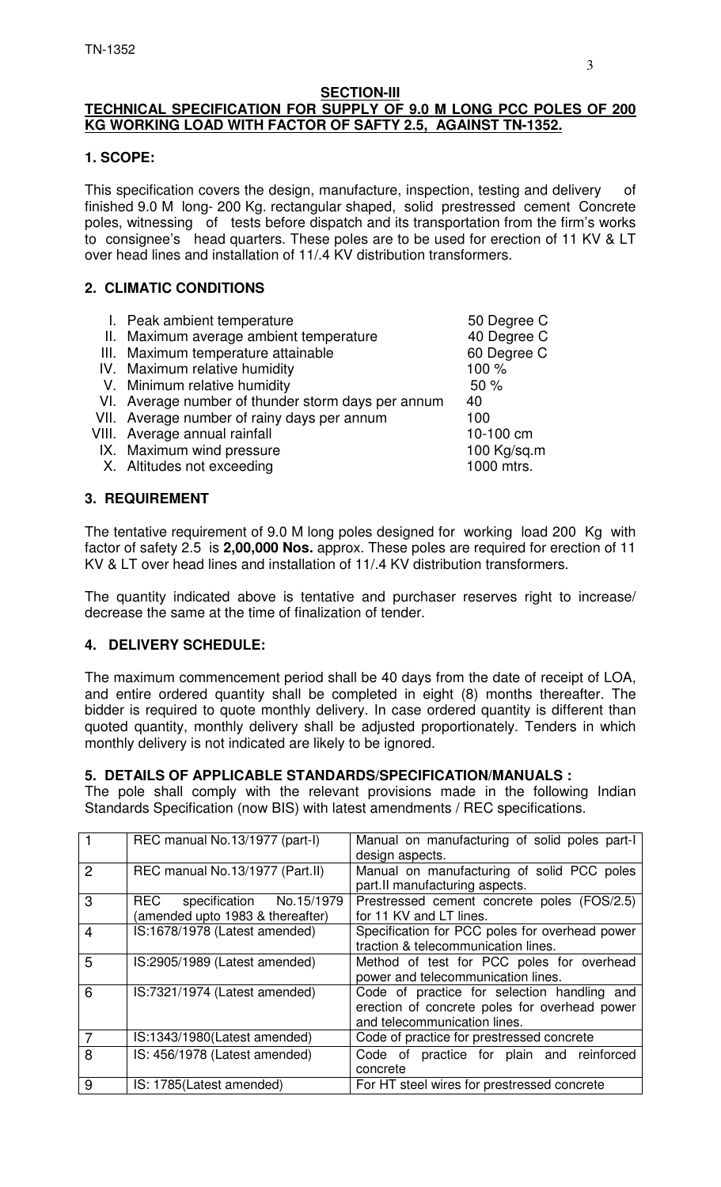## **SECTION-III**

# **TECHNICAL SPECIFICATION FOR SUPPLY OF 9.0 M LONG PCC POLES OF 200 KG WORKING LOAD WITH FACTOR OF SAFTY 2.5, AGAINST TN-1352.**

## **1. SCOPE:**

This specification covers the design, manufacture, inspection, testing and delivery of finished 9.0 M long- 200 Kg. rectangular shaped, solid prestressed cement Concrete poles, witnessing of tests before dispatch and its transportation from the firm's works to consignee's head quarters. These poles are to be used for erection of 11 KV & LT over head lines and installation of 11/.4 KV distribution transformers.

## **2. CLIMATIC CONDITIONS**

| I. Peak ambient temperature                        | 50 Degree C |
|----------------------------------------------------|-------------|
| II. Maximum average ambient temperature            | 40 Degree C |
| III. Maximum temperature attainable                | 60 Degree C |
| IV. Maximum relative humidity                      | 100 %       |
| V. Minimum relative humidity                       | 50%         |
| VI. Average number of thunder storm days per annum | 40          |
| VII. Average number of rainy days per annum        | 100         |
| VIII. Average annual rainfall                      | 10-100 cm   |
| IX. Maximum wind pressure                          | 100 Kg/sq.m |
| X. Altitudes not exceeding                         | 1000 mtrs.  |
|                                                    |             |
| <b>3. REQUIREMENT</b>                              |             |

The tentative requirement of 9.0 M long poles designed for working load 200 Kg with factor of safety 2.5 is **2,00,000 Nos.** approx. These poles are required for erection of 11 KV & LT over head lines and installation of 11/.4 KV distribution transformers.

The quantity indicated above is tentative and purchaser reserves right to increase/ decrease the same at the time of finalization of tender.

## **4. DELIVERY SCHEDULE:**

The maximum commencement period shall be 40 days from the date of receipt of LOA, and entire ordered quantity shall be completed in eight (8) months thereafter. The bidder is required to quote monthly delivery. In case ordered quantity is different than quoted quantity, monthly delivery shall be adjusted proportionately. Tenders in which monthly delivery is not indicated are likely to be ignored.

#### **5. DETAILS OF APPLICABLE STANDARDS/SPECIFICATION/MANUALS :**

The pole shall comply with the relevant provisions made in the following Indian Standards Specification (now BIS) with latest amendments / REC specifications.

|                | REC manual No.13/1977 (part-I)                                   | Manual on manufacturing of solid poles part-I<br>design aspects.                                                             |  |  |
|----------------|------------------------------------------------------------------|------------------------------------------------------------------------------------------------------------------------------|--|--|
| $\mathcal{P}$  | REC manual No.13/1977 (Part.II)                                  | Manual on manufacturing of solid PCC poles<br>part.II manufacturing aspects.                                                 |  |  |
| 3              | REC specification No.15/1979<br>(amended upto 1983 & thereafter) | Prestressed cement concrete poles (FOS/2.5)<br>for 11 KV and LT lines.                                                       |  |  |
| $\overline{4}$ | IS:1678/1978 (Latest amended)                                    | Specification for PCC poles for overhead power<br>traction & telecommunication lines.                                        |  |  |
| 5              | IS:2905/1989 (Latest amended)                                    | Method of test for PCC poles for overhead<br>power and telecommunication lines.                                              |  |  |
| 6              | IS:7321/1974 (Latest amended)                                    | Code of practice for selection handling and<br>erection of concrete poles for overhead power<br>and telecommunication lines. |  |  |
| 7              | IS:1343/1980(Latest amended)                                     | Code of practice for prestressed concrete                                                                                    |  |  |
| 8              | IS: 456/1978 (Latest amended)                                    | Code of practice for plain and reinforced<br>concrete                                                                        |  |  |
| 9              | IS: 1785(Latest amended)                                         | For HT steel wires for prestressed concrete                                                                                  |  |  |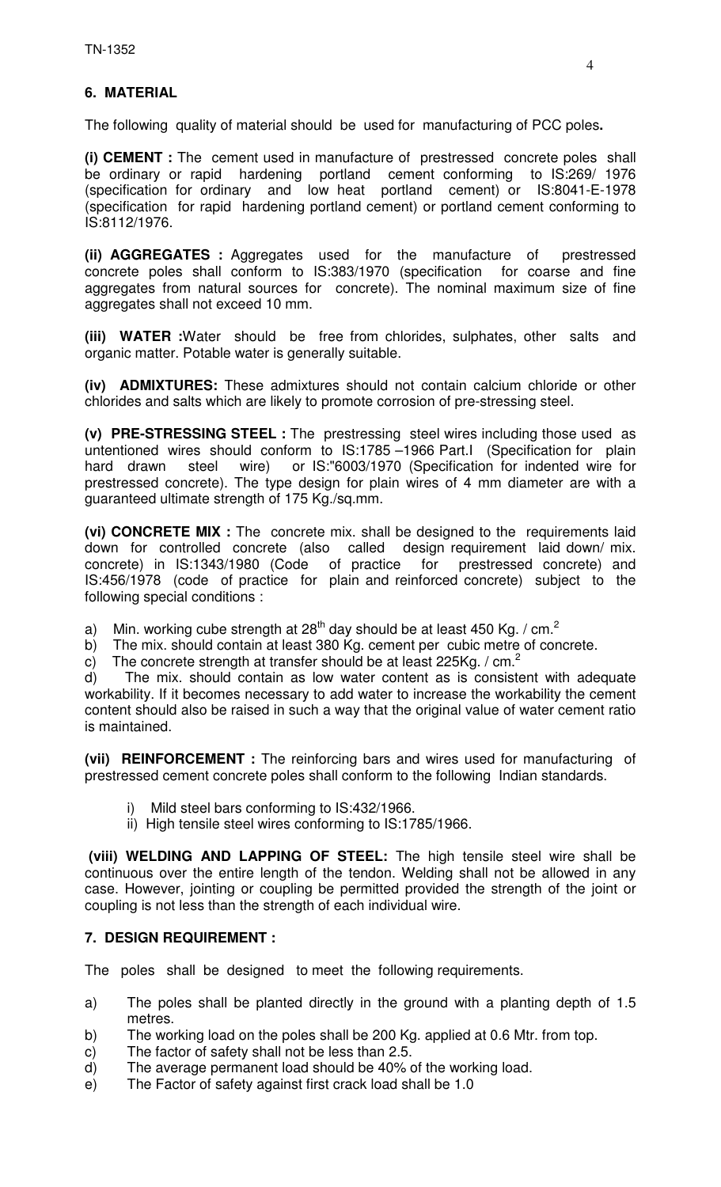# **6. MATERIAL**

The following quality of material should be used for manufacturing of PCC poles**.** 

**(i) CEMENT :** The cement used in manufacture of prestressed concrete poles shall be ordinary or rapid hardening portland cement conforming to IS:269/ 1976 (specification for ordinary and low heat portland cement) or IS:8041-E-1978 (specification for rapid hardening portland cement) or portland cement conforming to IS:8112/1976.

**(ii) AGGREGATES :** Aggregates used for the manufacture of prestressed concrete poles shall conform to IS:383/1970 (specification for coarse and fine aggregates from natural sources for concrete). The nominal maximum size of fine aggregates shall not exceed 10 mm.

**(iii) WATER :**Water should be free from chlorides, sulphates, other salts and organic matter. Potable water is generally suitable.

**(iv) ADMIXTURES:** These admixtures should not contain calcium chloride or other chlorides and salts which are likely to promote corrosion of pre-stressing steel.

**(v) PRE-STRESSING STEEL :** The prestressing steel wires including those used as untentioned wires should conform to IS:1785 –1966 Part.I (Specification for plain hard drawn steel wire) or IS:"6003/1970 (Specification for indented wire for prestressed concrete). The type design for plain wires of 4 mm diameter are with a guaranteed ultimate strength of 175 Kg./sq.mm.

**(vi) CONCRETE MIX :** The concrete mix. shall be designed to the requirements laid down for controlled concrete (also called design requirement laid down/ mix. concrete) in IS:1343/1980 (Code of practice for prestressed concrete) and IS:456/1978 (code of practice for plain and reinforced concrete) subject to the following special conditions :

a) Min. working cube strength at 28<sup>th</sup> day should be at least 450 Kg. / cm.<sup>2</sup>

b) The mix. should contain at least 380 Kg. cement per cubic metre of concrete.

c) The concrete strength at transfer should be at least 225Kg. /  $cm<sup>2</sup>$ 

d) The mix. should contain as low water content as is consistent with adequate workability. If it becomes necessary to add water to increase the workability the cement content should also be raised in such a way that the original value of water cement ratio is maintained.

**(vii) REINFORCEMENT :** The reinforcing bars and wires used for manufacturing of prestressed cement concrete poles shall conform to the following Indian standards.

- i) Mild steel bars conforming to IS:432/1966.
- ii) High tensile steel wires conforming to IS:1785/1966.

 **(viii) WELDING AND LAPPING OF STEEL:** The high tensile steel wire shall be continuous over the entire length of the tendon. Welding shall not be allowed in any case. However, jointing or coupling be permitted provided the strength of the joint or coupling is not less than the strength of each individual wire.

## **7. DESIGN REQUIREMENT :**

The poles shall be designed to meet the following requirements.

- a) The poles shall be planted directly in the ground with a planting depth of 1.5 metres.
- b) The working load on the poles shall be 200 Kg. applied at 0.6 Mtr. from top.
- c) The factor of safety shall not be less than 2.5.
- d) The average permanent load should be 40% of the working load.
- e) The Factor of safety against first crack load shall be 1.0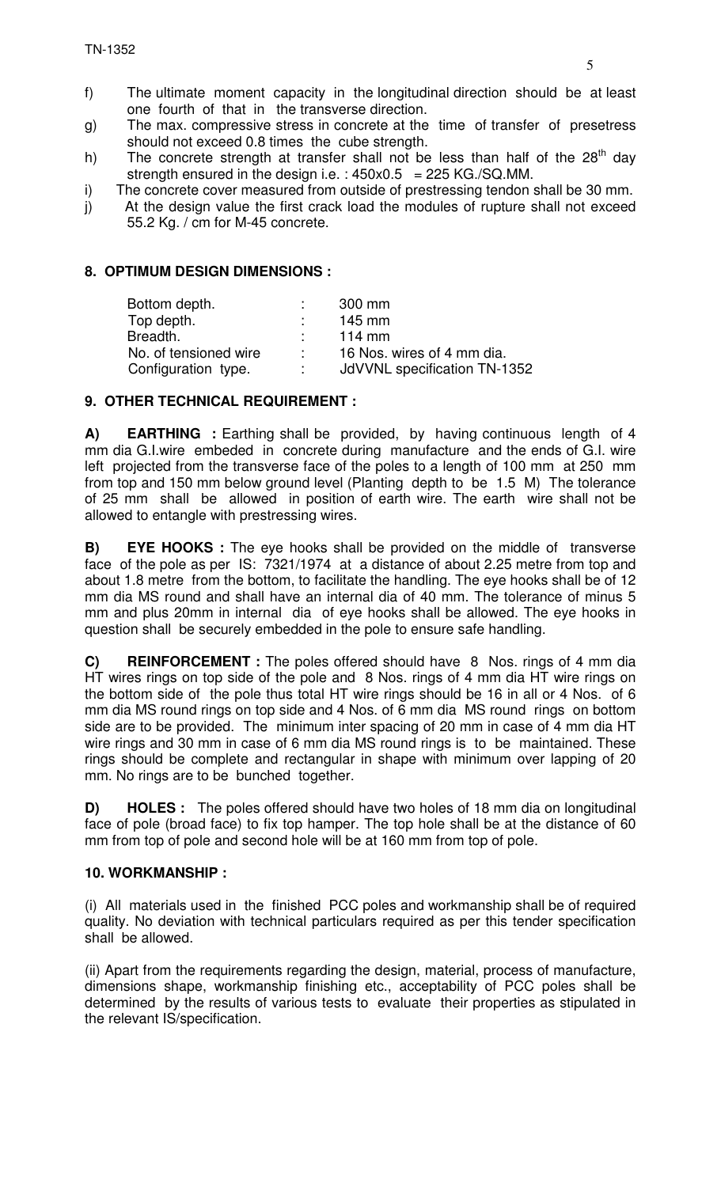- g) The max. compressive stress in concrete at the time of transfer of presetress should not exceed 0.8 times the cube strength.
- h) The concrete strength at transfer shall not be less than half of the  $28<sup>th</sup>$  day strength ensured in the design i.e. :  $450x0.5 = 225$  KG./SQ.MM.
- i) The concrete cover measured from outside of prestressing tendon shall be 30 mm.
- j) At the design value the first crack load the modules of rupture shall not exceed 55.2 Kg. / cm for M-45 concrete.

## **8. OPTIMUM DESIGN DIMENSIONS :**

| 300 mm                       |
|------------------------------|
| $145$ mm                     |
| 114 $mm$                     |
| 16 Nos. wires of 4 mm dia.   |
| JdVVNL specification TN-1352 |
|                              |

# **9. OTHER TECHNICAL REQUIREMENT :**

**A) EARTHING** : Earthing shall be provided, by having continuous length of 4 mm dia G.I.wire embeded in concrete during manufacture and the ends of G.I. wire left projected from the transverse face of the poles to a length of 100 mm at 250 mm from top and 150 mm below ground level (Planting depth to be 1.5 M) The tolerance of 25 mm shall be allowed in position of earth wire. The earth wire shall not be allowed to entangle with prestressing wires.

**B) EYE HOOKS :** The eye hooks shall be provided on the middle of transverse face of the pole as per IS: 7321/1974 at a distance of about 2.25 metre from top and about 1.8 metre from the bottom, to facilitate the handling. The eye hooks shall be of 12 mm dia MS round and shall have an internal dia of 40 mm. The tolerance of minus 5 mm and plus 20mm in internal dia of eye hooks shall be allowed. The eye hooks in question shall be securely embedded in the pole to ensure safe handling.

**C) REINFORCEMENT :** The poles offered should have 8 Nos. rings of 4 mm dia HT wires rings on top side of the pole and 8 Nos. rings of 4 mm dia HT wire rings on the bottom side of the pole thus total HT wire rings should be 16 in all or 4 Nos. of 6 mm dia MS round rings on top side and 4 Nos. of 6 mm dia MS round rings on bottom side are to be provided. The minimum inter spacing of 20 mm in case of 4 mm dia HT wire rings and 30 mm in case of 6 mm dia MS round rings is to be maintained. These rings should be complete and rectangular in shape with minimum over lapping of 20 mm. No rings are to be bunched together.

**D) HOLES :** The poles offered should have two holes of 18 mm dia on longitudinal face of pole (broad face) to fix top hamper. The top hole shall be at the distance of 60 mm from top of pole and second hole will be at 160 mm from top of pole.

## **10. WORKMANSHIP :**

(i)All materials used in the finished PCC poles and workmanship shall be of required quality. No deviation with technical particulars required as per this tender specification shall be allowed.

(ii) Apart from the requirements regarding the design, material, process of manufacture, dimensions shape, workmanship finishing etc., acceptability of PCC poles shall be determined by the results of various tests to evaluate their properties as stipulated in the relevant IS/specification.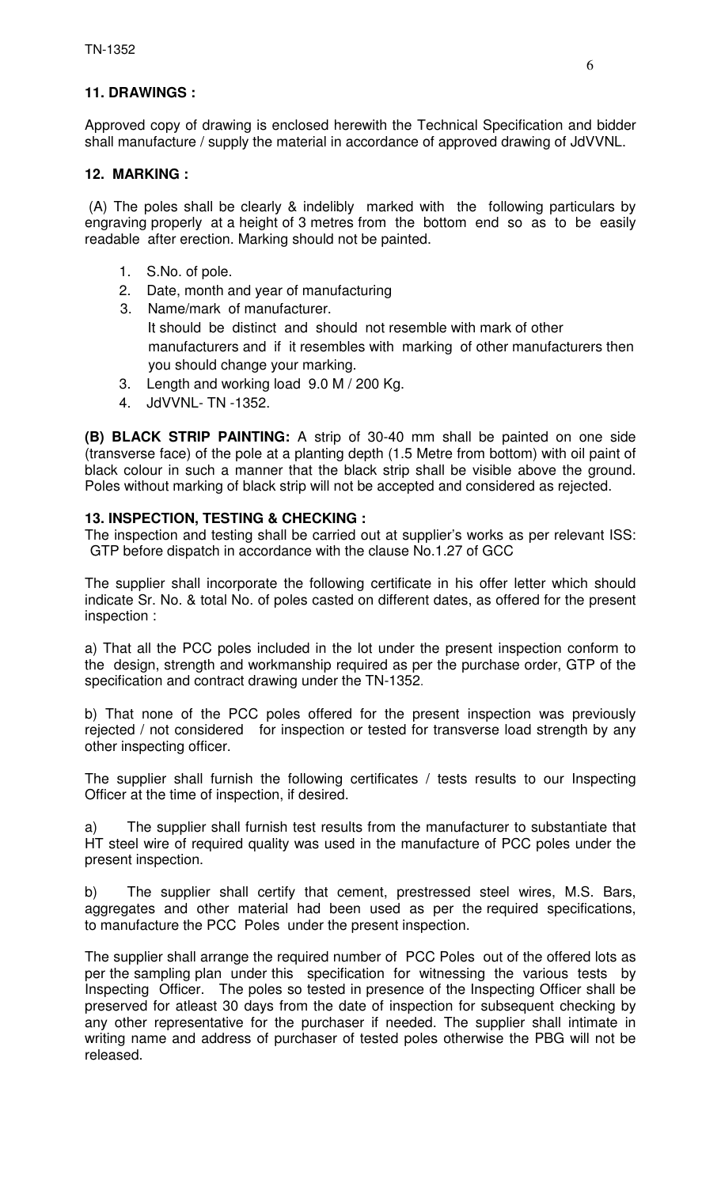## **11. DRAWINGS :**

Approved copy of drawing is enclosed herewith the Technical Specification and bidder shall manufacture / supply the material in accordance of approved drawing of JdVVNL.

#### **12. MARKING :**

 (A) The poles shall be clearly & indelibly marked with the following particulars by engraving properly at a height of 3 metres from the bottom end so as to be easily readable after erection. Marking should not be painted.

- 1. S.No. of pole.
- 2. Date, month and year of manufacturing
- 3. Name/mark of manufacturer. It should be distinct and should not resemble with mark of other manufacturers and if it resembles with marking of other manufacturers then you should change your marking.
- 3. Length and working load 9.0 M / 200 Kg.
- 4. JdVVNL- TN -1352.

**(B) BLACK STRIP PAINTING:** A strip of 30-40 mm shall be painted on one side (transverse face) of the pole at a planting depth (1.5 Metre from bottom) with oil paint of black colour in such a manner that the black strip shall be visible above the ground. Poles without marking of black strip will not be accepted and considered as rejected.

## **13. INSPECTION, TESTING & CHECKING :**

The inspection and testing shall be carried out at supplier's works as per relevant ISS: GTP before dispatch in accordance with the clause No.1.27 of GCC

The supplier shall incorporate the following certificate in his offer letter which should indicate Sr. No. & total No. of poles casted on different dates, as offered for the present inspection :

a) That all the PCC poles included in the lot under the present inspection conform to the design, strength and workmanship required as per the purchase order, GTP of the specification and contract drawing under the TN-1352.

b) That none of the PCC poles offered for the present inspection was previously rejected / not considered for inspection or tested for transverse load strength by any other inspecting officer.

The supplier shall furnish the following certificates / tests results to our Inspecting Officer at the time of inspection, if desired.

a) The supplier shall furnish test results from the manufacturer to substantiate that HT steel wire of required quality was used in the manufacture of PCC poles under the present inspection.

b) The supplier shall certify that cement, prestressed steel wires, M.S. Bars, aggregates and other material had been used as per the required specifications, to manufacture the PCC Poles under the present inspection.

The supplier shall arrange the required number of PCC Poles out of the offered lots as per the sampling plan under this specification for witnessing the various tests by Inspecting Officer. The poles so tested in presence of the Inspecting Officer shall be preserved for atleast 30 days from the date of inspection for subsequent checking by any other representative for the purchaser if needed. The supplier shall intimate in writing name and address of purchaser of tested poles otherwise the PBG will not be released.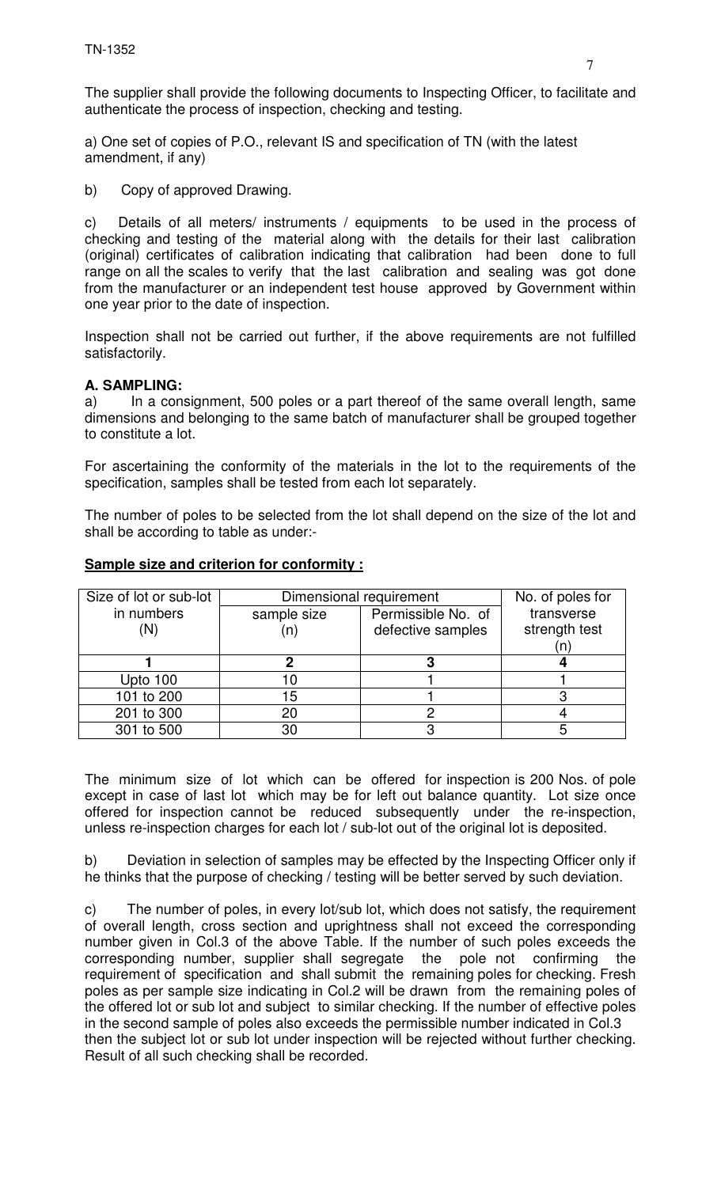The supplier shall provide the following documents to Inspecting Officer, to facilitate and authenticate the process of inspection, checking and testing.

a) One set of copies of P.O., relevant IS and specification of TN (with the latest amendment, if any)

b) Copy of approved Drawing.

c) Details of all meters/ instruments / equipments to be used in the process of checking and testing of the material along with the details for their last calibration (original) certificates of calibration indicating that calibration had been done to full range on all the scales to verify that the last calibration and sealing was got done from the manufacturer or an independent test house approved by Government within one year prior to the date of inspection.

Inspection shall not be carried out further, if the above requirements are not fulfilled satisfactorily.

# **A. SAMPLING:**

a) In a consignment, 500 poles or a part thereof of the same overall length, same dimensions and belonging to the same batch of manufacturer shall be grouped together to constitute a lot.

For ascertaining the conformity of the materials in the lot to the requirements of the specification, samples shall be tested from each lot separately.

The number of poles to be selected from the lot shall depend on the size of the lot and shall be according to table as under:-

| Size of lot or sub-lot | Dimensional requirement           | No. of poles for  |               |
|------------------------|-----------------------------------|-------------------|---------------|
| in numbers             | Permissible No. of<br>sample size |                   | transverse    |
|                        | (n)                               | defective samples | strength test |
|                        |                                   |                   |               |
|                        |                                   |                   |               |
| Upto 100               |                                   |                   |               |
| 101 to 200             | 15                                |                   |               |
| 201 to 300             | 20                                |                   |               |
| 301 to 500             | 30                                |                   |               |

## **Sample size and criterion for conformity :**

The minimum size of lot which can be offered for inspection is 200 Nos. of pole except in case of last lot which may be for left out balance quantity. Lot size once offered for inspection cannot be reduced subsequently under the re-inspection, unless re-inspection charges for each lot / sub-lot out of the original lot is deposited.

b) Deviation in selection of samples may be effected by the Inspecting Officer only if he thinks that the purpose of checking / testing will be better served by such deviation.

c) The number of poles, in every lot/sub lot, which does not satisfy, the requirement of overall length, cross section and uprightness shall not exceed the corresponding number given in Col.3 of the above Table. If the number of such poles exceeds the corresponding number, supplier shall segregate the pole not confirming the corresponding number, supplier shall segregate the pole not confirming the requirement of specification and shall submit the remaining poles for checking. Fresh poles as per sample size indicating in Col.2 will be drawn from the remaining poles of the offered lot or sub lot and subject to similar checking. If the number of effective poles in the second sample of poles also exceeds the permissible number indicated in Col.3 then the subject lot or sub lot under inspection will be rejected without further checking. Result of all such checking shall be recorded.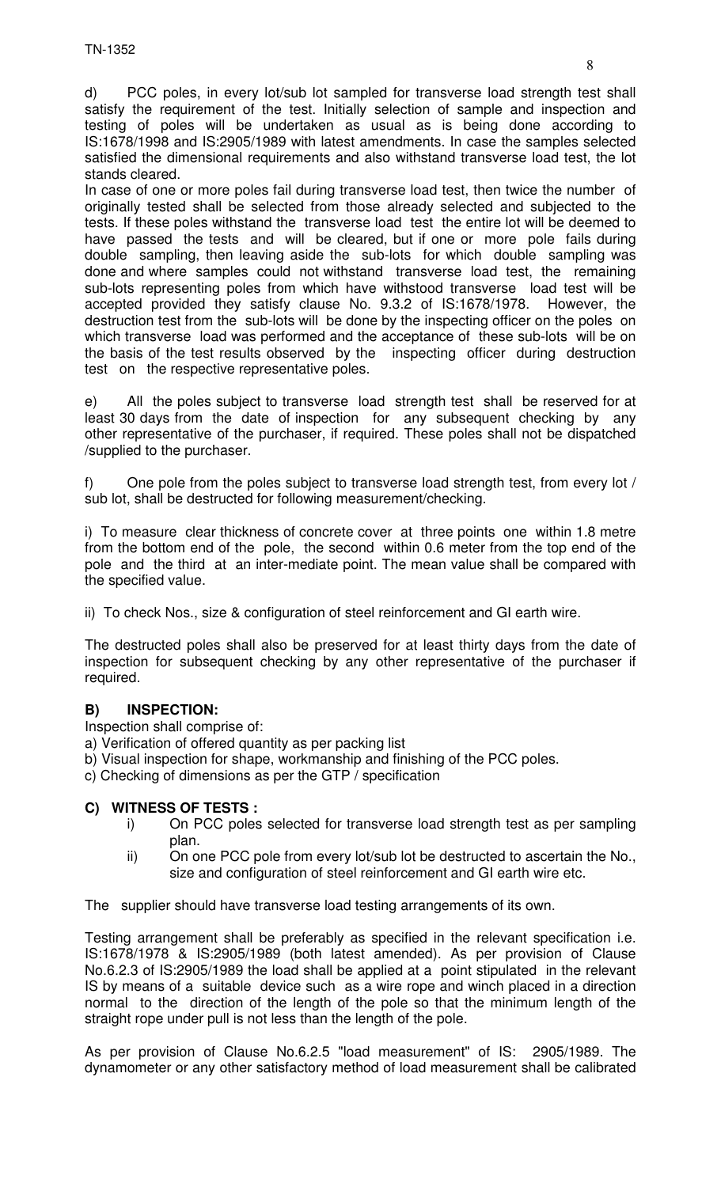d) PCC poles, in every lot/sub lot sampled for transverse load strength test shall satisfy the requirement of the test. Initially selection of sample and inspection and testing of poles will be undertaken as usual as is being done according to IS:1678/1998 and IS:2905/1989 with latest amendments. In case the samples selected satisfied the dimensional requirements and also withstand transverse load test, the lot stands cleared.

In case of one or more poles fail during transverse load test, then twice the number of originally tested shall be selected from those already selected and subjected to the tests. If these poles withstand the transverse load test the entire lot will be deemed to have passed the tests and will be cleared, but if one or more pole fails during double sampling, then leaving aside the sub-lots for which double sampling was done and where samples could not withstand transverse load test, the remaining sub-lots representing poles from which have withstood transverse load test will be accepted provided they satisfy clause No. 9.3.2 of IS:1678/1978. However, the destruction test from the sub-lots will be done by the inspecting officer on the poles on which transverse load was performed and the acceptance of these sub-lots will be on the basis of the test results observed by the inspecting officer during destruction test on the respective representative poles.

e) All the poles subject to transverse load strength test shall be reserved for at least 30 days from the date of inspection for any subsequent checking by any other representative of the purchaser, if required. These poles shall not be dispatched /supplied to the purchaser.

f) One pole from the poles subject to transverse load strength test, from every lot / sub lot, shall be destructed for following measurement/checking.

i) To measure clear thickness of concrete cover at three points one within 1.8 metre from the bottom end of the pole, the second within 0.6 meter from the top end of the pole and the third at an inter-mediate point. The mean value shall be compared with the specified value.

ii) To check Nos., size & configuration of steel reinforcement and GI earth wire.

The destructed poles shall also be preserved for at least thirty days from the date of inspection for subsequent checking by any other representative of the purchaser if required.

## **B) INSPECTION:**

Inspection shall comprise of:

- a) Verification of offered quantity as per packing list
- b) Visual inspection for shape, workmanship and finishing of the PCC poles.
- c) Checking of dimensions as per the GTP / specification

## **C) WITNESS OF TESTS :**

- i) On PCC poles selected for transverse load strength test as per sampling plan.
- ii) On one PCC pole from every lot/sub lot be destructed to ascertain the No., size and configuration of steel reinforcement and GI earth wire etc.

The supplier should have transverse load testing arrangements of its own.

Testing arrangement shall be preferably as specified in the relevant specification i.e. IS:1678/1978 & IS:2905/1989 (both latest amended). As per provision of Clause No.6.2.3 of IS:2905/1989 the load shall be applied at a point stipulated in the relevant IS by means of a suitable device such as a wire rope and winch placed in a direction normal to the direction of the length of the pole so that the minimum length of the straight rope under pull is not less than the length of the pole.

As per provision of Clause No.6.2.5 "load measurement" of IS: 2905/1989. The dynamometer or any other satisfactory method of load measurement shall be calibrated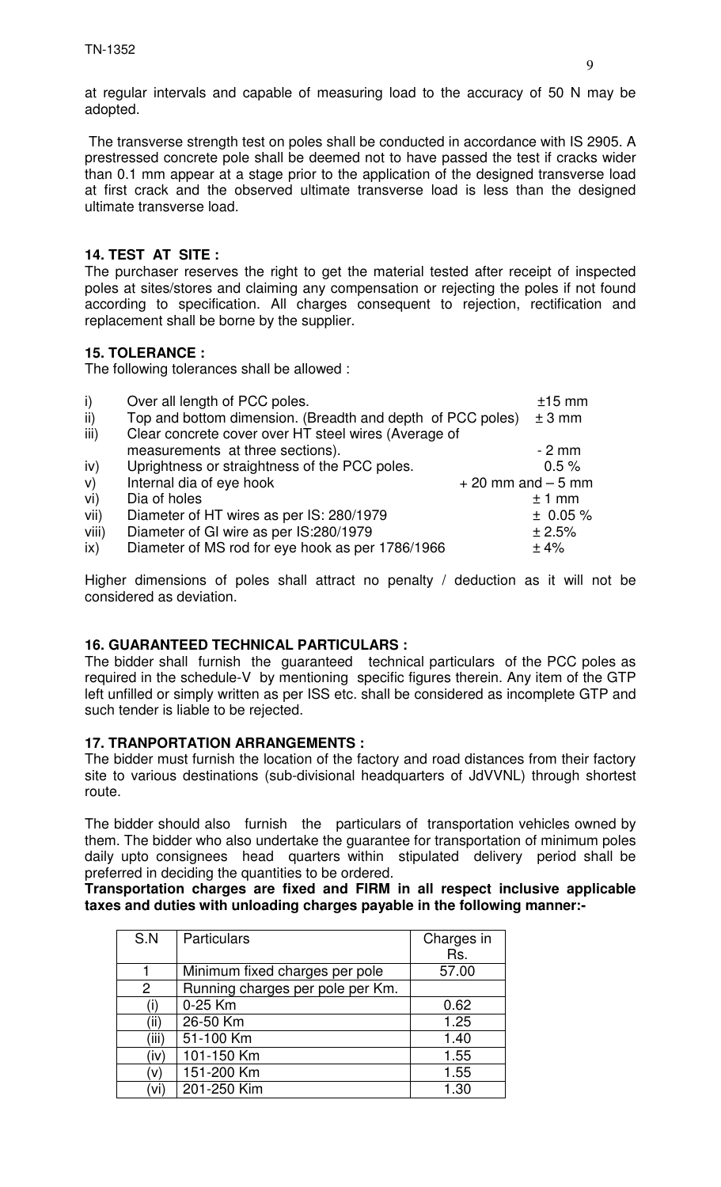at regular intervals and capable of measuring load to the accuracy of 50 N may be adopted.

 The transverse strength test on poles shall be conducted in accordance with IS 2905. A prestressed concrete pole shall be deemed not to have passed the test if cracks wider than 0.1 mm appear at a stage prior to the application of the designed transverse load at first crack and the observed ultimate transverse load is less than the designed ultimate transverse load.

## **14. TEST AT SITE :**

The purchaser reserves the right to get the material tested after receipt of inspected poles at sites/stores and claiming any compensation or rejecting the poles if not found according to specification. All charges consequent to rejection, rectification and replacement shall be borne by the supplier.

## **15. TOLERANCE :**

The following tolerances shall be allowed :

| $\mathsf{i}$ | Over all length of PCC poles.                              |                      | $±15$ mm |
|--------------|------------------------------------------------------------|----------------------|----------|
| ii)          | Top and bottom dimension. (Breadth and depth of PCC poles) |                      | $± 3$ mm |
| iii)         | Clear concrete cover over HT steel wires (Average of       |                      |          |
|              | measurements at three sections).                           |                      | $-2$ mm  |
| iv)          | Uprightness or straightness of the PCC poles.              |                      | 0.5%     |
| V)           | Internal dia of eye hook                                   | $+20$ mm and $-5$ mm |          |
| vi)          | Dia of holes                                               |                      | $±1$ mm  |
| vii)         | Diameter of HT wires as per IS: 280/1979                   |                      | ± 0.05%  |
| viii)        | Diameter of GI wire as per IS:280/1979                     |                      | ± 2.5%   |
| ix)          | Diameter of MS rod for eye hook as per 1786/1966           |                      | ±4%      |

Higher dimensions of poles shall attract no penalty / deduction as it will not be considered as deviation.

## **16. GUARANTEED TECHNICAL PARTICULARS :**

The bidder shall furnish the guaranteed technical particulars of the PCC poles as required in the schedule-V by mentioning specific figures therein. Any item of the GTP left unfilled or simply written as per ISS etc. shall be considered as incomplete GTP and such tender is liable to be rejected.

## **17. TRANPORTATION ARRANGEMENTS :**

The bidder must furnish the location of the factory and road distances from their factory site to various destinations (sub-divisional headquarters of JdVVNL) through shortest route.

The bidder should also furnish the particulars of transportation vehicles owned by them. The bidder who also undertake the guarantee for transportation of minimum poles daily upto consignees head quarters within stipulated delivery period shall be preferred in deciding the quantities to be ordered.

**Transportation charges are fixed and FIRM in all respect inclusive applicable taxes and duties with unloading charges payable in the following manner:-**

| S.N            | Particulars                      | Charges in |
|----------------|----------------------------------|------------|
|                |                                  | Rs.        |
|                | Minimum fixed charges per pole   | 57.00      |
| $\overline{2}$ | Running charges per pole per Km. |            |
| (i)            | 0-25 Km                          | 0.62       |
| (ii)           | 26-50 Km                         | 1.25       |
| (iii)          | 51-100 Km                        | 1.40       |
| (iv)           | 101-150 Km                       | 1.55       |
| (v)            | 151-200 Km                       | 1.55       |
| (vi)           | 201-250 Kim                      | 1.30       |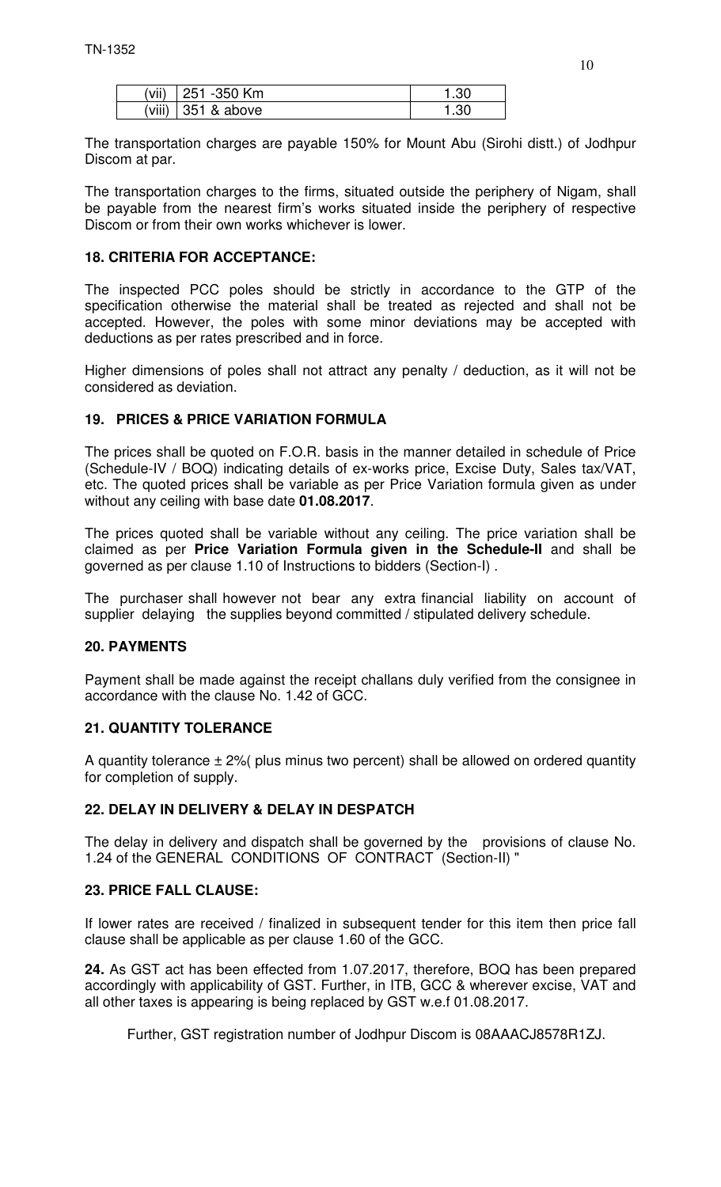| (vii) 251 -350 Km    | 1.30 |
|----------------------|------|
| (viii) $351$ & above | 1.30 |

The transportation charges are payable 150% for Mount Abu (Sirohi distt.) of Jodhpur Discom at par.

The transportation charges to the firms, situated outside the periphery of Nigam, shall be payable from the nearest firm's works situated inside the periphery of respective Discom or from their own works whichever is lower.

## **18. CRITERIA FOR ACCEPTANCE:**

The inspected PCC poles should be strictly in accordance to the GTP of the specification otherwise the material shall be treated as rejected and shall not be accepted. However, the poles with some minor deviations may be accepted with deductions as per rates prescribed and in force.

Higher dimensions of poles shall not attract any penalty / deduction, as it will not be considered as deviation.

# **19. PRICES & PRICE VARIATION FORMULA**

The prices shall be quoted on F.O.R. basis in the manner detailed in schedule of Price (Schedule-IV / BOQ) indicating details of ex-works price, Excise Duty, Sales tax/VAT, etc. The quoted prices shall be variable as per Price Variation formula given as under without any ceiling with base date **01.08.2017**.

The prices quoted shall be variable without any ceiling. The price variation shall be claimed as per **Price Variation Formula given in the Schedule-II** and shall be governed as per clause 1.10 of Instructions to bidders (Section-I) .

The purchaser shall however not bear any extra financial liability on account of supplier delaying the supplies beyond committed / stipulated delivery schedule.

## **20. PAYMENTS**

Payment shall be made against the receipt challans duly verified from the consignee in accordance with the clause No. 1.42 of GCC.

## **21. QUANTITY TOLERANCE**

A quantity tolerance  $\pm 2$ % (plus minus two percent) shall be allowed on ordered quantity for completion of supply.

## **22. DELAY IN DELIVERY & DELAY IN DESPATCH**

The delay in delivery and dispatch shall be governed by the provisions of clause No. 1.24 of the GENERAL CONDITIONS OF CONTRACT (Section-II) "

## **23. PRICE FALL CLAUSE:**

If lower rates are received / finalized in subsequent tender for this item then price fall clause shall be applicable as per clause 1.60 of the GCC.

**24.** As GST act has been effected from 1.07.2017, therefore, BOQ has been prepared accordingly with applicability of GST. Further, in ITB, GCC & wherever excise, VAT and all other taxes is appearing is being replaced by GST w.e.f 01.08.2017.

Further, GST registration number of Jodhpur Discom is 08AAACJ8578R1ZJ.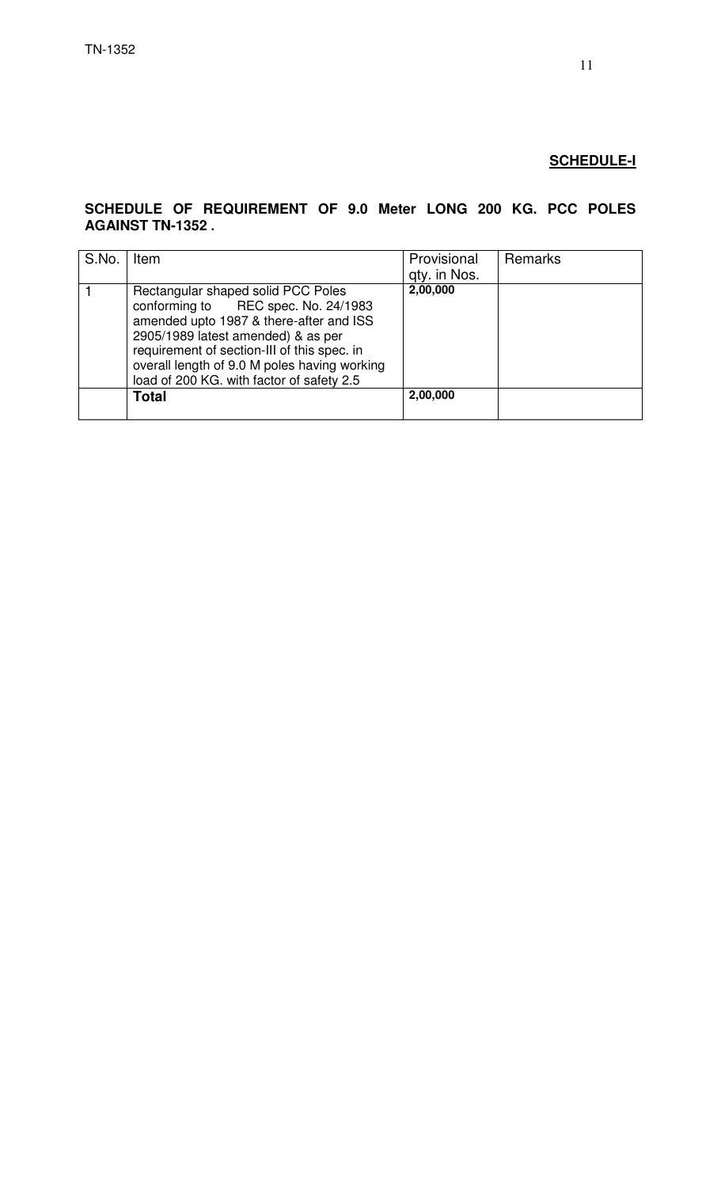## **SCHEDULE-I**

#### **SCHEDULE OF REQUIREMENT OF 9.0 Meter LONG 200 KG. PCC POLES AGAINST TN-1352 .**

| S.No. | Item                                                                                                                                                                                                                                                                                                   | Provisional<br>gty. in Nos. | Remarks |
|-------|--------------------------------------------------------------------------------------------------------------------------------------------------------------------------------------------------------------------------------------------------------------------------------------------------------|-----------------------------|---------|
|       | Rectangular shaped solid PCC Poles<br>conforming to REC spec. No. 24/1983<br>amended upto 1987 & there-after and ISS<br>2905/1989 latest amended) & as per<br>requirement of section-III of this spec. in<br>overall length of 9.0 M poles having working<br>load of 200 KG. with factor of safety 2.5 | 2,00,000                    |         |
|       | Total                                                                                                                                                                                                                                                                                                  | 2,00,000                    |         |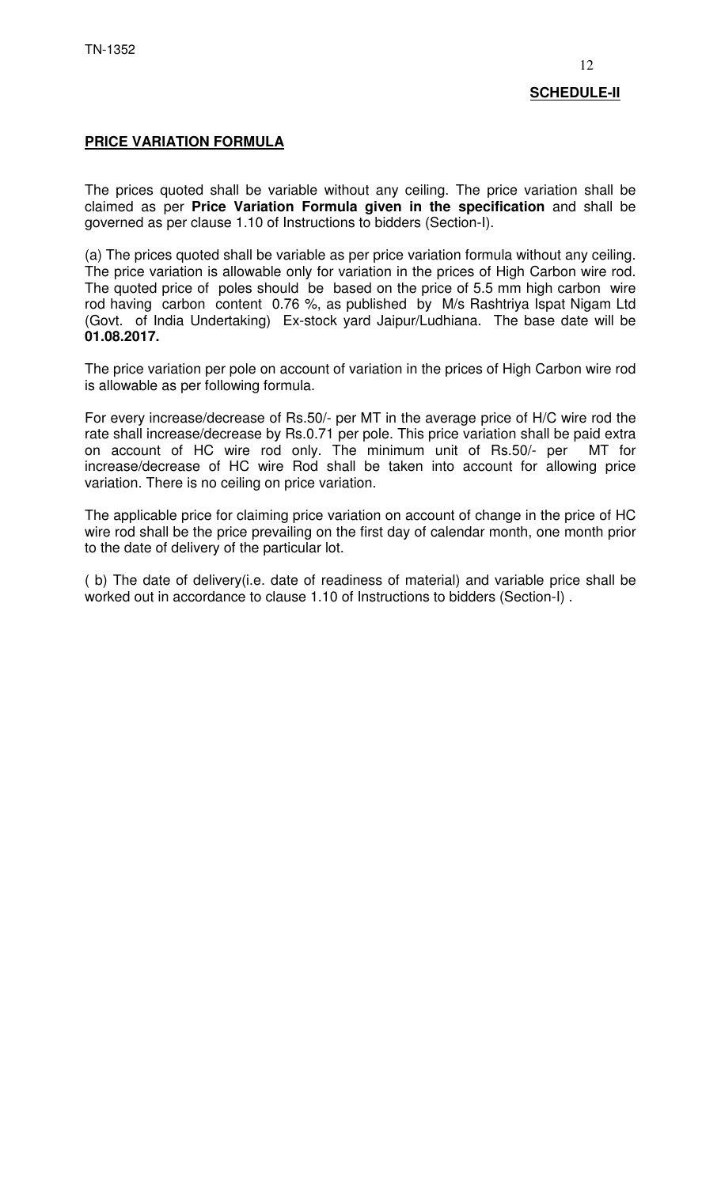# **PRICE VARIATION FORMULA**

The prices quoted shall be variable without any ceiling. The price variation shall be claimed as per **Price Variation Formula given in the specification** and shall be governed as per clause 1.10 of Instructions to bidders (Section-I).

(a) The prices quoted shall be variable as per price variation formula without any ceiling. The price variation is allowable only for variation in the prices of High Carbon wire rod. The quoted price of poles should be based on the price of 5.5 mm high carbon wire rod having carbon content 0.76 %, as published by M/s Rashtriya Ispat Nigam Ltd (Govt. of India Undertaking) Ex-stock yard Jaipur/Ludhiana. The base date will be **01.08.2017.**

The price variation per pole on account of variation in the prices of High Carbon wire rod is allowable as per following formula.

For every increase/decrease of Rs.50/- per MT in the average price of H/C wire rod the rate shall increase/decrease by Rs.0.71 per pole. This price variation shall be paid extra on account of HC wire rod only. The minimum unit of Rs.50/- per MT for increase/decrease of HC wire Rod shall be taken into account for allowing price variation. There is no ceiling on price variation.

The applicable price for claiming price variation on account of change in the price of HC wire rod shall be the price prevailing on the first day of calendar month, one month prior to the date of delivery of the particular lot.

( b) The date of delivery(i.e. date of readiness of material) and variable price shall be worked out in accordance to clause 1.10 of Instructions to bidders (Section-I) .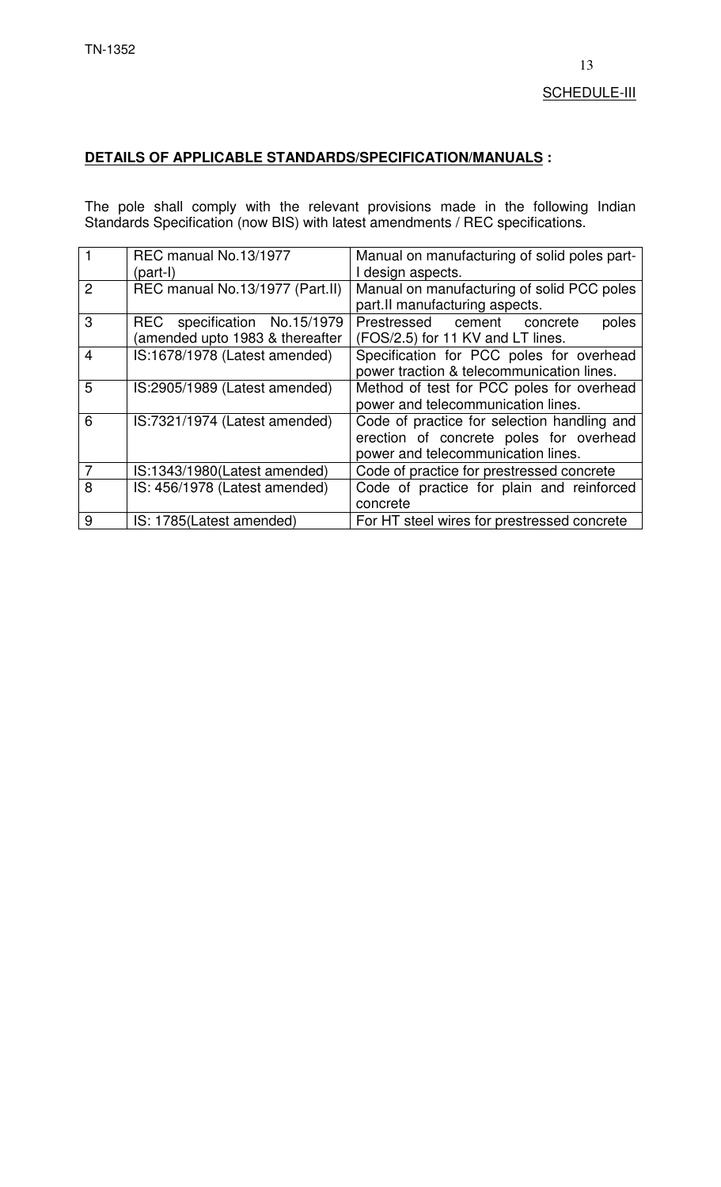# **DETAILS OF APPLICABLE STANDARDS/SPECIFICATION/MANUALS :**

The pole shall comply with the relevant provisions made in the following Indian Standards Specification (now BIS) with latest amendments / REC specifications.

| $\mathbf{1}$   | REC manual No.13/1977                                          | Manual on manufacturing of solid poles part-                                                                                 |
|----------------|----------------------------------------------------------------|------------------------------------------------------------------------------------------------------------------------------|
|                | (part-I)                                                       | I design aspects.                                                                                                            |
| $\mathcal{P}$  | REC manual No.13/1977 (Part.II)                                | Manual on manufacturing of solid PCC poles<br>part.II manufacturing aspects.                                                 |
| 3              | REC specification No.15/1979<br>amended upto 1983 & thereafter | poles<br>Prestressed cement concrete<br>(FOS/2.5) for 11 KV and LT lines.                                                    |
| $\overline{4}$ | IS:1678/1978 (Latest amended)                                  | Specification for PCC poles for overhead<br>power traction & telecommunication lines.                                        |
| 5              | IS:2905/1989 (Latest amended)                                  | Method of test for PCC poles for overhead<br>power and telecommunication lines.                                              |
| 6              | IS:7321/1974 (Latest amended)                                  | Code of practice for selection handling and<br>erection of concrete poles for overhead<br>power and telecommunication lines. |
| $\overline{7}$ | IS:1343/1980(Latest amended)                                   | Code of practice for prestressed concrete                                                                                    |
| 8              | IS: 456/1978 (Latest amended)                                  | Code of practice for plain and reinforced                                                                                    |
|                |                                                                | concrete                                                                                                                     |
| 9              | IS: 1785(Latest amended)                                       | For HT steel wires for prestressed concrete                                                                                  |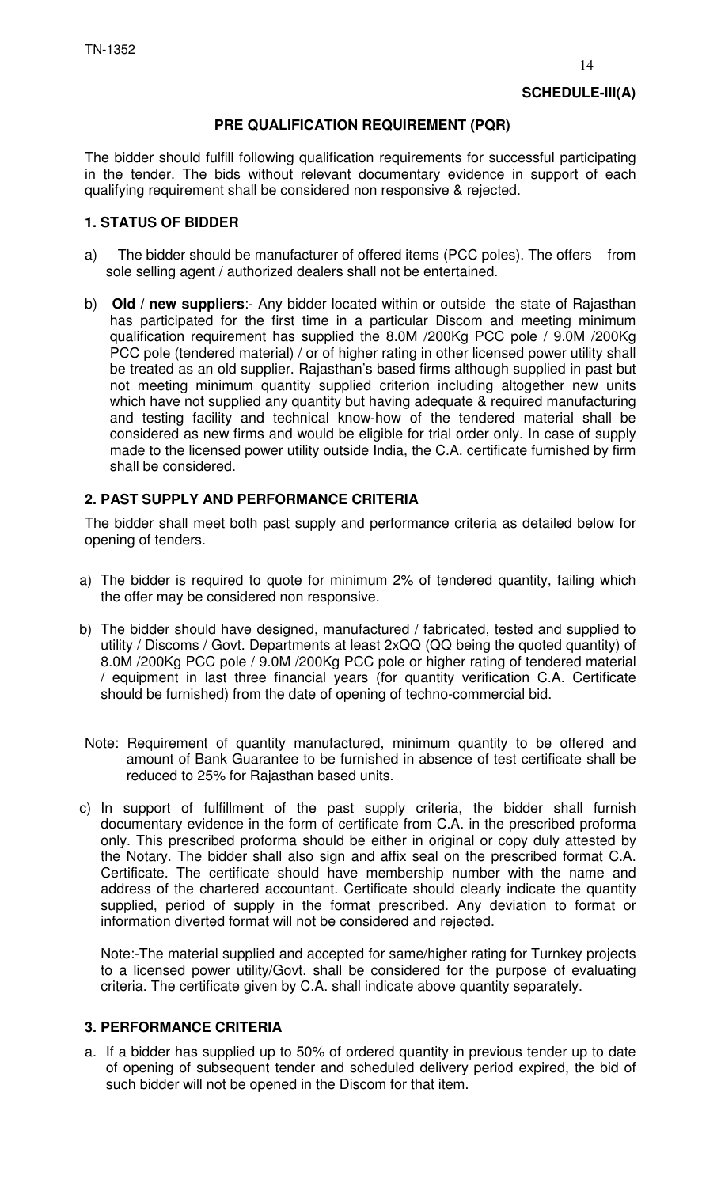## **PRE QUALIFICATION REQUIREMENT (PQR)**

The bidder should fulfill following qualification requirements for successful participating in the tender. The bids without relevant documentary evidence in support of each qualifying requirement shall be considered non responsive & rejected.

# **1. STATUS OF BIDDER**

- a) The bidder should be manufacturer of offered items (PCC poles). The offers from sole selling agent / authorized dealers shall not be entertained.
- b) **Old / new suppliers**:- Any bidder located within or outside the state of Rajasthan has participated for the first time in a particular Discom and meeting minimum qualification requirement has supplied the 8.0M /200Kg PCC pole / 9.0M /200Kg PCC pole (tendered material) / or of higher rating in other licensed power utility shall be treated as an old supplier. Rajasthan's based firms although supplied in past but not meeting minimum quantity supplied criterion including altogether new units which have not supplied any quantity but having adequate & required manufacturing and testing facility and technical know-how of the tendered material shall be considered as new firms and would be eligible for trial order only. In case of supply made to the licensed power utility outside India, the C.A. certificate furnished by firm shall be considered.

# **2. PAST SUPPLY AND PERFORMANCE CRITERIA**

The bidder shall meet both past supply and performance criteria as detailed below for opening of tenders.

- a) The bidder is required to quote for minimum 2% of tendered quantity, failing which the offer may be considered non responsive.
- b) The bidder should have designed, manufactured / fabricated, tested and supplied to utility / Discoms / Govt. Departments at least 2xQQ (QQ being the quoted quantity) of 8.0M /200Kg PCC pole / 9.0M /200Kg PCC pole or higher rating of tendered material / equipment in last three financial years (for quantity verification C.A. Certificate should be furnished) from the date of opening of techno-commercial bid.
- Note: Requirement of quantity manufactured, minimum quantity to be offered and amount of Bank Guarantee to be furnished in absence of test certificate shall be reduced to 25% for Rajasthan based units.
- c) In support of fulfillment of the past supply criteria, the bidder shall furnish documentary evidence in the form of certificate from C.A. in the prescribed proforma only. This prescribed proforma should be either in original or copy duly attested by the Notary. The bidder shall also sign and affix seal on the prescribed format C.A. Certificate. The certificate should have membership number with the name and address of the chartered accountant. Certificate should clearly indicate the quantity supplied, period of supply in the format prescribed. Any deviation to format or information diverted format will not be considered and rejected.

Note:-The material supplied and accepted for same/higher rating for Turnkey projects to a licensed power utility/Govt. shall be considered for the purpose of evaluating criteria. The certificate given by C.A. shall indicate above quantity separately.

## **3. PERFORMANCE CRITERIA**

a. If a bidder has supplied up to 50% of ordered quantity in previous tender up to date of opening of subsequent tender and scheduled delivery period expired, the bid of such bidder will not be opened in the Discom for that item.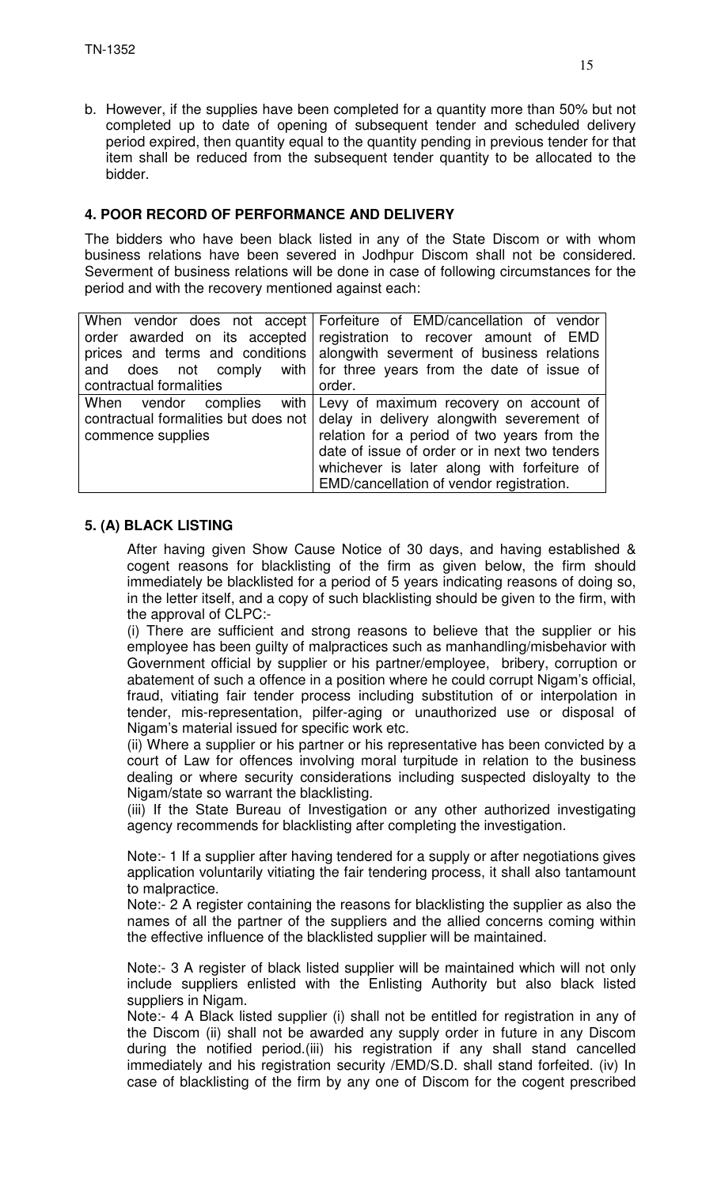b. However, if the supplies have been completed for a quantity more than 50% but not completed up to date of opening of subsequent tender and scheduled delivery period expired, then quantity equal to the quantity pending in previous tender for that item shall be reduced from the subsequent tender quantity to be allocated to the bidder.

# **4. POOR RECORD OF PERFORMANCE AND DELIVERY**

The bidders who have been black listed in any of the State Discom or with whom business relations have been severed in Jodhpur Discom shall not be considered. Severment of business relations will be done in case of following circumstances for the period and with the recovery mentioned against each:

|                         | When vendor does not accept Forfeiture of EMD/cancellation of vendor            |
|-------------------------|---------------------------------------------------------------------------------|
|                         | order awarded on its accepted registration to recover amount of EMD             |
|                         | prices and terms and conditions alongwith severment of business relations       |
|                         | and does not comply with for three years from the date of issue of              |
| contractual formalities | order.                                                                          |
|                         | When vendor complies with Levy of maximum recovery on account of                |
|                         | contractual formalities but does not delay in delivery along with severement of |
| commence supplies       | relation for a period of two years from the                                     |
|                         | date of issue of order or in next two tenders                                   |
|                         | whichever is later along with forfeiture of                                     |
|                         | EMD/cancellation of vendor registration.                                        |

# **5. (A) BLACK LISTING**

After having given Show Cause Notice of 30 days, and having established & cogent reasons for blacklisting of the firm as given below, the firm should immediately be blacklisted for a period of 5 years indicating reasons of doing so, in the letter itself, and a copy of such blacklisting should be given to the firm, with the approval of CLPC:-

(i) There are sufficient and strong reasons to believe that the supplier or his employee has been guilty of malpractices such as manhandling/misbehavior with Government official by supplier or his partner/employee, bribery, corruption or abatement of such a offence in a position where he could corrupt Nigam's official, fraud, vitiating fair tender process including substitution of or interpolation in tender, mis-representation, pilfer-aging or unauthorized use or disposal of Nigam's material issued for specific work etc.

(ii) Where a supplier or his partner or his representative has been convicted by a court of Law for offences involving moral turpitude in relation to the business dealing or where security considerations including suspected disloyalty to the Nigam/state so warrant the blacklisting.

(iii) If the State Bureau of Investigation or any other authorized investigating agency recommends for blacklisting after completing the investigation.

Note:- 1 If a supplier after having tendered for a supply or after negotiations gives application voluntarily vitiating the fair tendering process, it shall also tantamount to malpractice.

Note:- 2 A register containing the reasons for blacklisting the supplier as also the names of all the partner of the suppliers and the allied concerns coming within the effective influence of the blacklisted supplier will be maintained.

Note:- 3 A register of black listed supplier will be maintained which will not only include suppliers enlisted with the Enlisting Authority but also black listed suppliers in Nigam.

Note:- 4 A Black listed supplier (i) shall not be entitled for registration in any of the Discom (ii) shall not be awarded any supply order in future in any Discom during the notified period.(iii) his registration if any shall stand cancelled immediately and his registration security /EMD/S.D. shall stand forfeited. (iv) In case of blacklisting of the firm by any one of Discom for the cogent prescribed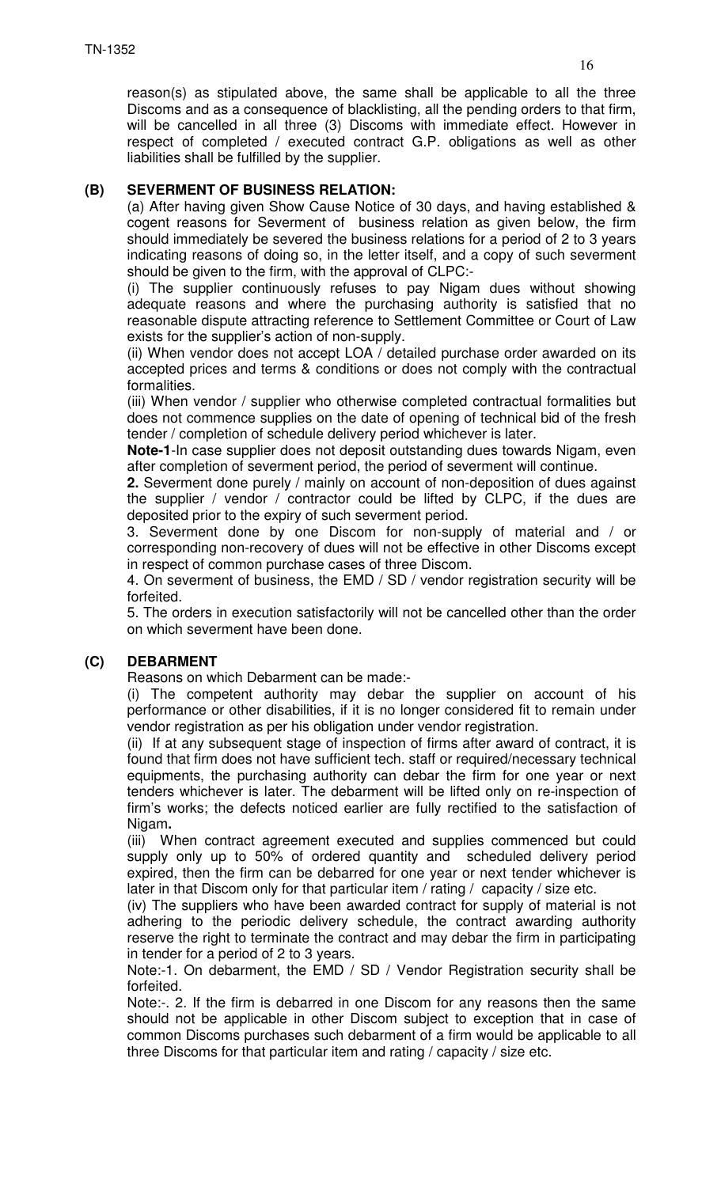reason(s) as stipulated above, the same shall be applicable to all the three Discoms and as a consequence of blacklisting, all the pending orders to that firm, will be cancelled in all three (3) Discoms with immediate effect. However in respect of completed / executed contract G.P. obligations as well as other liabilities shall be fulfilled by the supplier.

# **(B) SEVERMENT OF BUSINESS RELATION:**

(a) After having given Show Cause Notice of 30 days, and having established & cogent reasons for Severment of business relation as given below, the firm should immediately be severed the business relations for a period of 2 to 3 years indicating reasons of doing so, in the letter itself, and a copy of such severment should be given to the firm, with the approval of CLPC:-

(i) The supplier continuously refuses to pay Nigam dues without showing adequate reasons and where the purchasing authority is satisfied that no reasonable dispute attracting reference to Settlement Committee or Court of Law exists for the supplier's action of non-supply.

(ii) When vendor does not accept LOA / detailed purchase order awarded on its accepted prices and terms & conditions or does not comply with the contractual formalities.

(iii) When vendor / supplier who otherwise completed contractual formalities but does not commence supplies on the date of opening of technical bid of the fresh tender / completion of schedule delivery period whichever is later.

**Note-1**-In case supplier does not deposit outstanding dues towards Nigam, even after completion of severment period, the period of severment will continue.

**2.** Severment done purely / mainly on account of non-deposition of dues against the supplier / vendor / contractor could be lifted by CLPC, if the dues are deposited prior to the expiry of such severment period.

3. Severment done by one Discom for non-supply of material and / or corresponding non-recovery of dues will not be effective in other Discoms except in respect of common purchase cases of three Discom.

4. On severment of business, the EMD / SD / vendor registration security will be forfeited.

5. The orders in execution satisfactorily will not be cancelled other than the order on which severment have been done.

# **(C) DEBARMENT**

Reasons on which Debarment can be made:-

(i) The competent authority may debar the supplier on account of his performance or other disabilities, if it is no longer considered fit to remain under vendor registration as per his obligation under vendor registration.

(ii) If at any subsequent stage of inspection of firms after award of contract, it is found that firm does not have sufficient tech. staff or required/necessary technical equipments, the purchasing authority can debar the firm for one year or next tenders whichever is later. The debarment will be lifted only on re-inspection of firm's works; the defects noticed earlier are fully rectified to the satisfaction of Nigam**.** 

(iii) When contract agreement executed and supplies commenced but could supply only up to 50% of ordered quantity and scheduled delivery period expired, then the firm can be debarred for one year or next tender whichever is later in that Discom only for that particular item / rating / capacity / size etc.

(iv) The suppliers who have been awarded contract for supply of material is not adhering to the periodic delivery schedule, the contract awarding authority reserve the right to terminate the contract and may debar the firm in participating in tender for a period of 2 to 3 years.

Note:-1. On debarment, the EMD / SD / Vendor Registration security shall be forfeited.

Note:-. 2. If the firm is debarred in one Discom for any reasons then the same should not be applicable in other Discom subject to exception that in case of common Discoms purchases such debarment of a firm would be applicable to all three Discoms for that particular item and rating / capacity / size etc.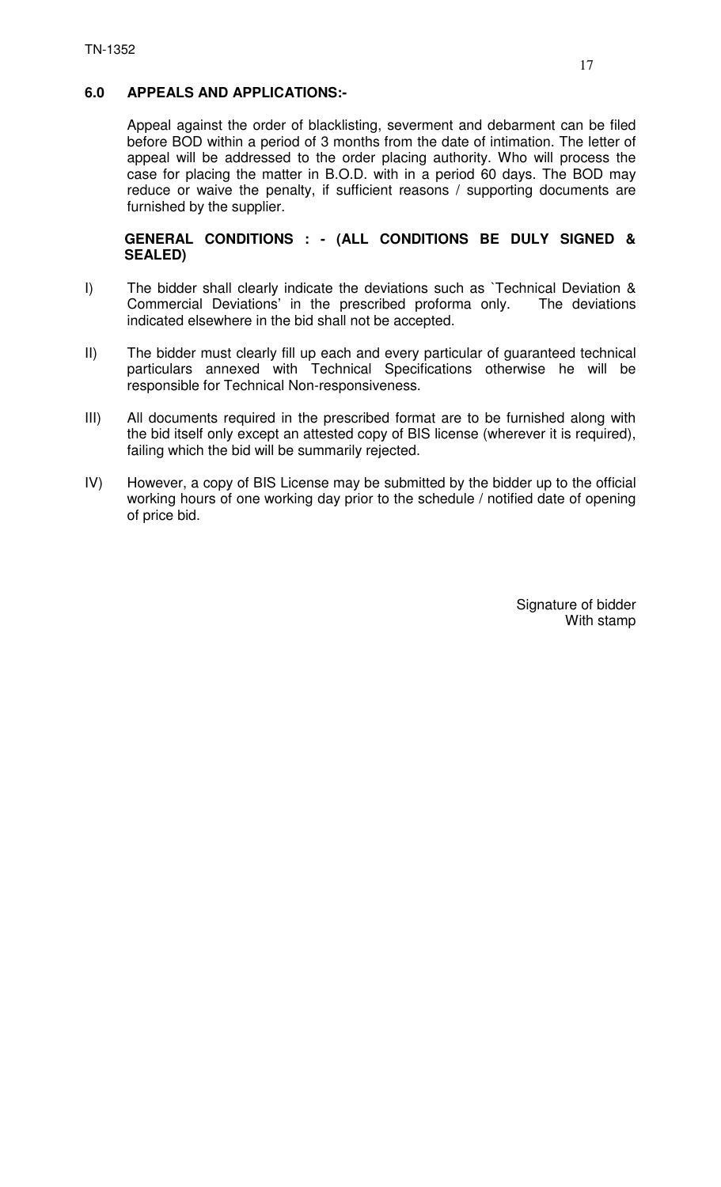# **6.0 APPEALS AND APPLICATIONS:-**

Appeal against the order of blacklisting, severment and debarment can be filed before BOD within a period of 3 months from the date of intimation. The letter of appeal will be addressed to the order placing authority. Who will process the case for placing the matter in B.O.D. with in a period 60 days. The BOD may reduce or waive the penalty, if sufficient reasons / supporting documents are furnished by the supplier.

## **GENERAL CONDITIONS : - (ALL CONDITIONS BE DULY SIGNED & SEALED)**

- I) The bidder shall clearly indicate the deviations such as `Technical Deviation & Commercial Deviations' in the prescribed proforma only. The deviations indicated elsewhere in the bid shall not be accepted.
- II) The bidder must clearly fill up each and every particular of guaranteed technical particulars annexed with Technical Specifications otherwise he will be responsible for Technical Non-responsiveness.
- III) All documents required in the prescribed format are to be furnished along with the bid itself only except an attested copy of BIS license (wherever it is required), failing which the bid will be summarily rejected.
- IV) However, a copy of BIS License may be submitted by the bidder up to the official working hours of one working day prior to the schedule / notified date of opening of price bid.

Signature of bidder With stamp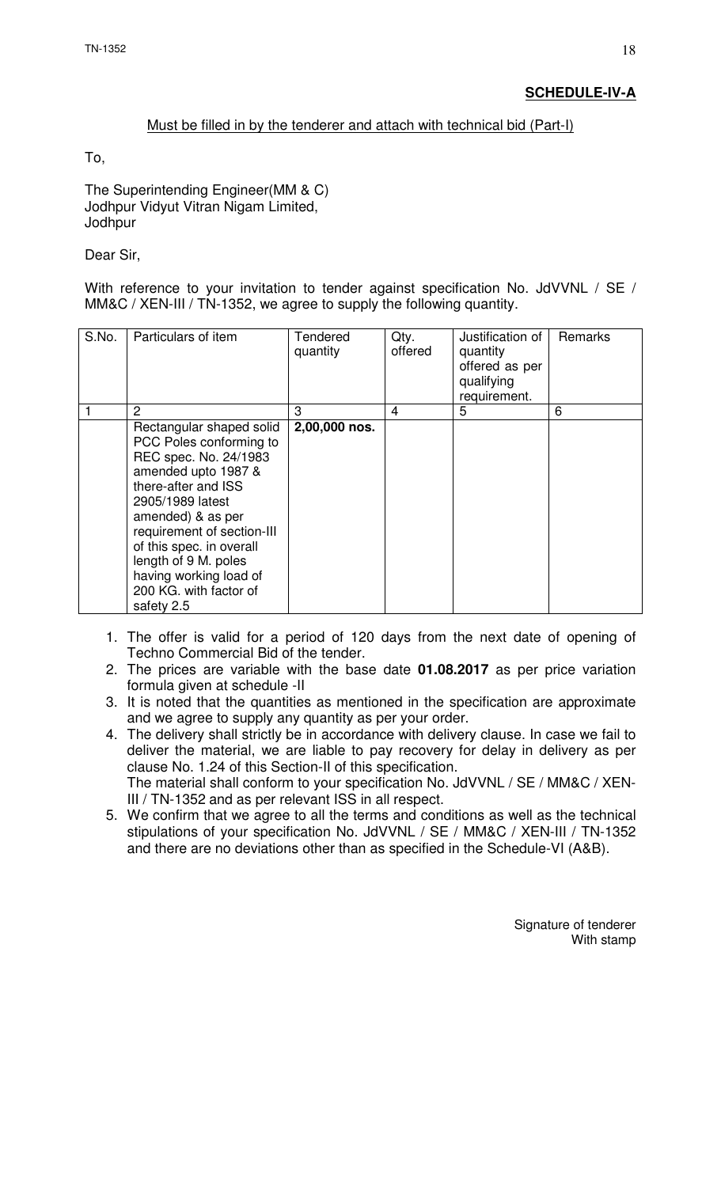#### Must be filled in by the tenderer and attach with technical bid (Part-I)

To,

The Superintending Engineer(MM & C) Jodhpur Vidyut Vitran Nigam Limited, **Jodhpur** 

Dear Sir,

With reference to your invitation to tender against specification No. JdVVNL / SE / MM&C / XEN-III / TN-1352, we agree to supply the following quantity.

| S.No. | Particulars of item                                                                                                                                                                                                                                                                                                     | Tendered<br>quantity | Qty.<br>offered | Justification of<br>quantity<br>offered as per<br>qualifying<br>requirement. | Remarks |
|-------|-------------------------------------------------------------------------------------------------------------------------------------------------------------------------------------------------------------------------------------------------------------------------------------------------------------------------|----------------------|-----------------|------------------------------------------------------------------------------|---------|
|       | 2                                                                                                                                                                                                                                                                                                                       | 3                    | 4               | 5                                                                            | 6       |
|       | Rectangular shaped solid<br>PCC Poles conforming to<br>REC spec. No. 24/1983<br>amended upto 1987 &<br>there-after and ISS<br>2905/1989 latest<br>amended) & as per<br>requirement of section-III<br>of this spec. in overall<br>length of 9 M. poles<br>having working load of<br>200 KG. with factor of<br>safety 2.5 | 2,00,000 nos.        |                 |                                                                              |         |

- 1. The offer is valid for a period of 120 days from the next date of opening of Techno Commercial Bid of the tender.
- 2. The prices are variable with the base date **01.08.2017** as per price variation formula given at schedule -II
- 3. It is noted that the quantities as mentioned in the specification are approximate and we agree to supply any quantity as per your order.
- 4. The delivery shall strictly be in accordance with delivery clause. In case we fail to deliver the material, we are liable to pay recovery for delay in delivery as per clause No. 1.24 of this Section-II of this specification. The material shall conform to your specification No. JdVVNL / SE / MM&C / XEN-III / TN-1352 and as per relevant ISS in all respect.
- 5. We confirm that we agree to all the terms and conditions as well as the technical stipulations of your specification No. JdVVNL / SE / MM&C / XEN-III / TN-1352 and there are no deviations other than as specified in the Schedule-VI (A&B).

Signature of tenderer With stamp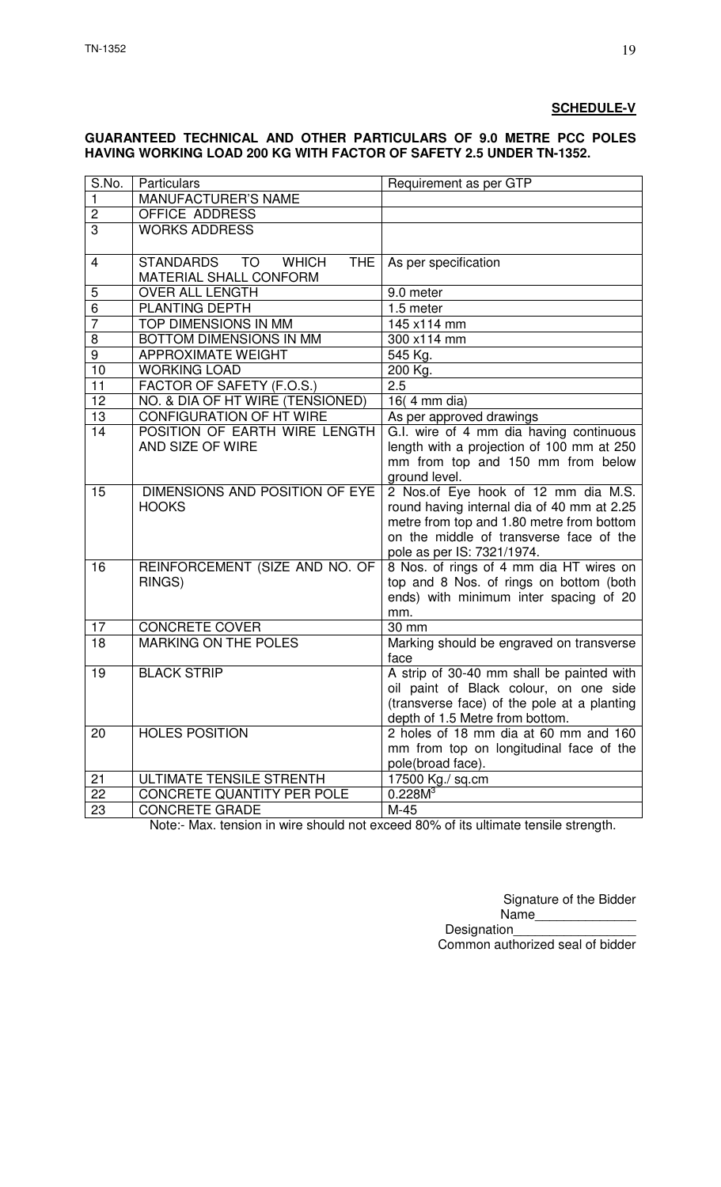# **SCHEDULE-V**

#### **GUARANTEED TECHNICAL AND OTHER PARTICULARS OF 9.0 METRE PCC POLES HAVING WORKING LOAD 200 KG WITH FACTOR OF SAFETY 2.5 UNDER TN-1352.**

| S.No.           | <b>Particulars</b>                         | Requirement as per GTP                           |
|-----------------|--------------------------------------------|--------------------------------------------------|
| $\mathbf{1}$    | <b>MANUFACTURER'S NAME</b>                 |                                                  |
| $\overline{2}$  | <b>OFFICE ADDRESS</b>                      |                                                  |
| $\overline{3}$  | <b>WORKS ADDRESS</b>                       |                                                  |
|                 |                                            |                                                  |
| 4               | STANDARDS TO<br><b>WHICH</b><br><b>THE</b> | As per specification                             |
|                 | MATERIAL SHALL CONFORM                     |                                                  |
| 5               | <b>OVER ALL LENGTH</b>                     | 9.0 meter                                        |
| $\overline{6}$  | <b>PLANTING DEPTH</b>                      | 1.5 meter                                        |
| $\overline{7}$  | TOP DIMENSIONS IN MM                       | 145 x114 mm                                      |
| 8               | BOTTOM DIMENSIONS IN MM                    | 300 x114 mm                                      |
| 9               | <b>APPROXIMATE WEIGHT</b>                  | 545 Kg.                                          |
| $\overline{10}$ | <b>WORKING LOAD</b>                        | 200 Kg.                                          |
| 11              | FACTOR OF SAFETY (F.O.S.)                  | 2.5                                              |
| 12              | NO. & DIA OF HT WIRE (TENSIONED)           | 16(4 mm dia)                                     |
| 13              | <b>CONFIGURATION OF HT WIRE</b>            | As per approved drawings                         |
| 14              | POSITION OF EARTH WIRE LENGTH              | G.I. wire of 4 mm dia having continuous          |
|                 | AND SIZE OF WIRE                           | length with a projection of 100 mm at 250        |
|                 |                                            | mm from top and 150 mm from below                |
|                 |                                            | ground level.                                    |
| 15              | DIMENSIONS AND POSITION OF EYE             | 2 Nos.of Eye hook of 12 mm dia M.S.              |
|                 | <b>HOOKS</b>                               | round having internal dia of 40 mm at 2.25       |
|                 |                                            | metre from top and 1.80 metre from bottom        |
|                 |                                            | on the middle of transverse face of the          |
|                 |                                            | pole as per IS: 7321/1974.                       |
| 16              | REINFORCEMENT (SIZE AND NO. OF             | 8 Nos. of rings of 4 mm dia HT wires on          |
|                 | RINGS)                                     | top and 8 Nos. of rings on bottom (both          |
|                 |                                            | ends) with minimum inter spacing of 20           |
|                 |                                            | mm.                                              |
| 17              | <b>CONCRETE COVER</b>                      | 30 mm                                            |
| 18              | <b>MARKING ON THE POLES</b>                | Marking should be engraved on transverse<br>face |
| 19              | <b>BLACK STRIP</b>                         | A strip of 30-40 mm shall be painted with        |
|                 |                                            | oil paint of Black colour, on one side           |
|                 |                                            | (transverse face) of the pole at a planting      |
|                 |                                            | depth of 1.5 Metre from bottom.                  |
| 20              | <b>HOLES POSITION</b>                      | 2 holes of 18 mm dia at 60 mm and 160            |
|                 |                                            | mm from top on longitudinal face of the          |
|                 |                                            | pole(broad face).                                |
| 21              | ULTIMATE TENSILE STRENTH                   | 17500 Kg./ sq.cm                                 |
| 22              | CONCRETE QUANTITY PER POLE                 | 0.228M <sup>3</sup>                              |
| 23              | <b>CONCRETE GRADE</b>                      | M-45                                             |

Note:- Max. tension in wire should not exceed 80% of its ultimate tensile strength.

Signature of the Bidder

Name Designation Common authorized seal of bidder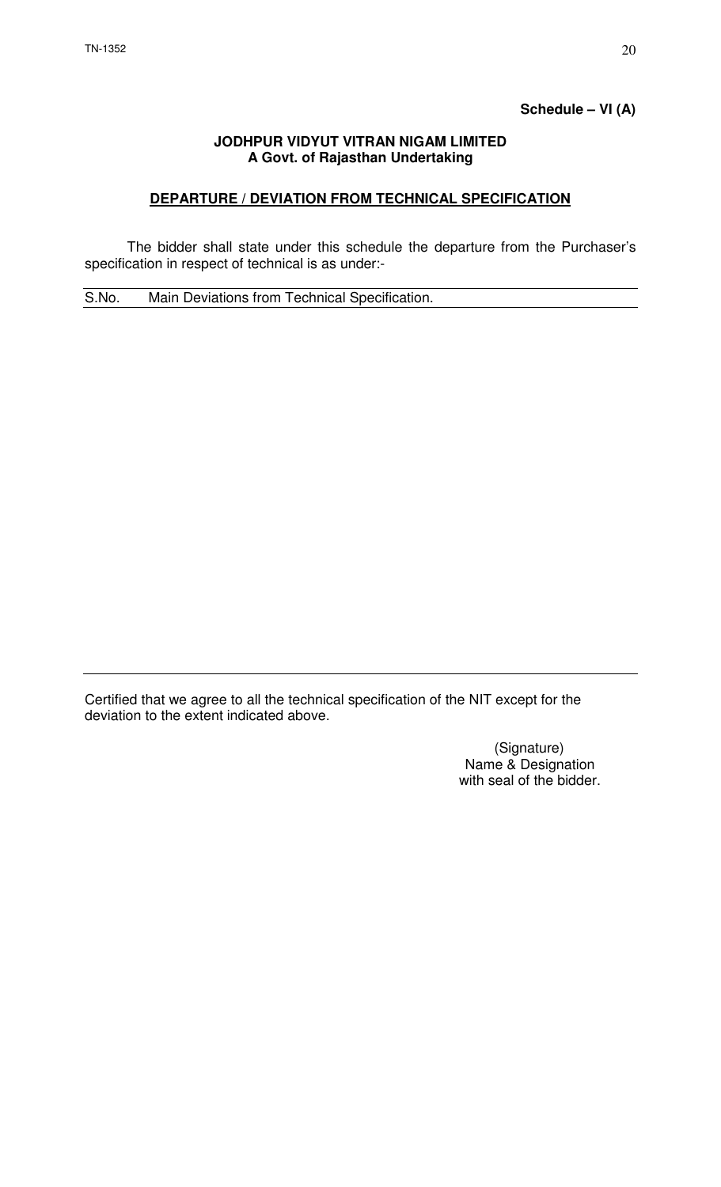## **Schedule – VI (A)**

#### **JODHPUR VIDYUT VITRAN NIGAM LIMITED A Govt. of Rajasthan Undertaking**

# **DEPARTURE / DEVIATION FROM TECHNICAL SPECIFICATION**

 The bidder shall state under this schedule the departure from the Purchaser's specification in respect of technical is as under:-

S.No. Main Deviations from Technical Specification.

Certified that we agree to all the technical specification of the NIT except for the deviation to the extent indicated above.

> (Signature) Name & Designation with seal of the bidder.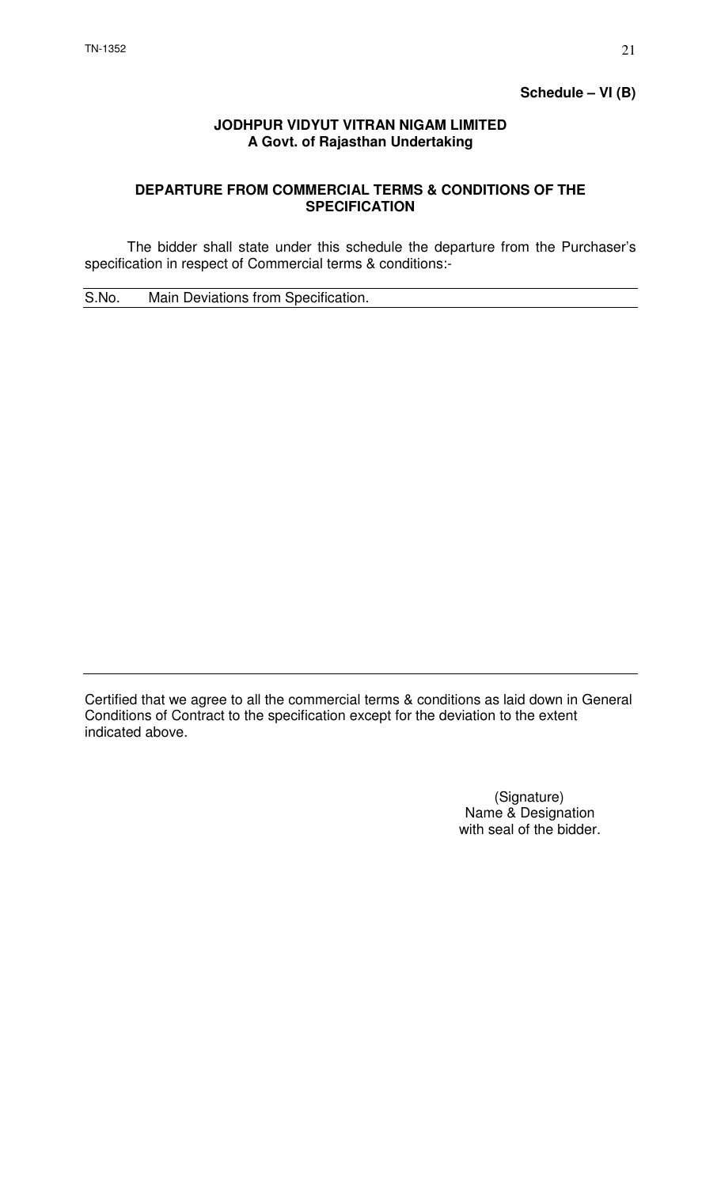## **JODHPUR VIDYUT VITRAN NIGAM LIMITED A Govt. of Rajasthan Undertaking**

# **DEPARTURE FROM COMMERCIAL TERMS & CONDITIONS OF THE SPECIFICATION**

 The bidder shall state under this schedule the departure from the Purchaser's specification in respect of Commercial terms & conditions:-

S.No. Main Deviations from Specification.

Certified that we agree to all the commercial terms & conditions as laid down in General Conditions of Contract to the specification except for the deviation to the extent indicated above.

> (Signature) Name & Designation with seal of the bidder.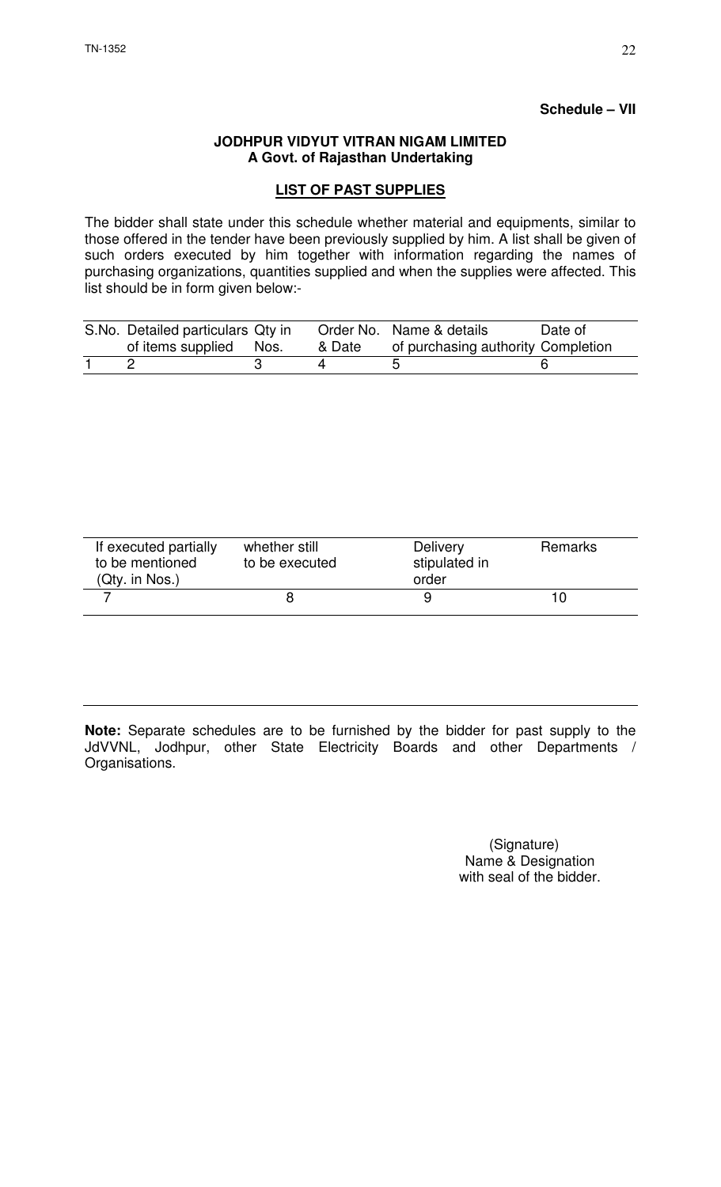#### **Schedule – VII**

#### **JODHPUR VIDYUT VITRAN NIGAM LIMITED A Govt. of Rajasthan Undertaking**

## **LIST OF PAST SUPPLIES**

The bidder shall state under this schedule whether material and equipments, similar to those offered in the tender have been previously supplied by him. A list shall be given of such orders executed by him together with information regarding the names of purchasing organizations, quantities supplied and when the supplies were affected. This list should be in form given below:-

| S.No. Detailed particulars Qty in<br>of items supplied Nos. | & Date | Order No. Name & details<br>of purchasing authority Completion | Date of |
|-------------------------------------------------------------|--------|----------------------------------------------------------------|---------|
|                                                             |        |                                                                |         |

| If executed partially<br>to be mentioned<br>$(Qty.$ in Nos.) | whether still<br>to be executed | <b>Delivery</b><br>stipulated in<br>order | <b>Remarks</b> |
|--------------------------------------------------------------|---------------------------------|-------------------------------------------|----------------|
|                                                              |                                 |                                           |                |

**Note:** Separate schedules are to be furnished by the bidder for past supply to the JdVVNL, Jodhpur, other State Electricity Boards and other Departments / Organisations.

> (Signature) Name & Designation with seal of the bidder.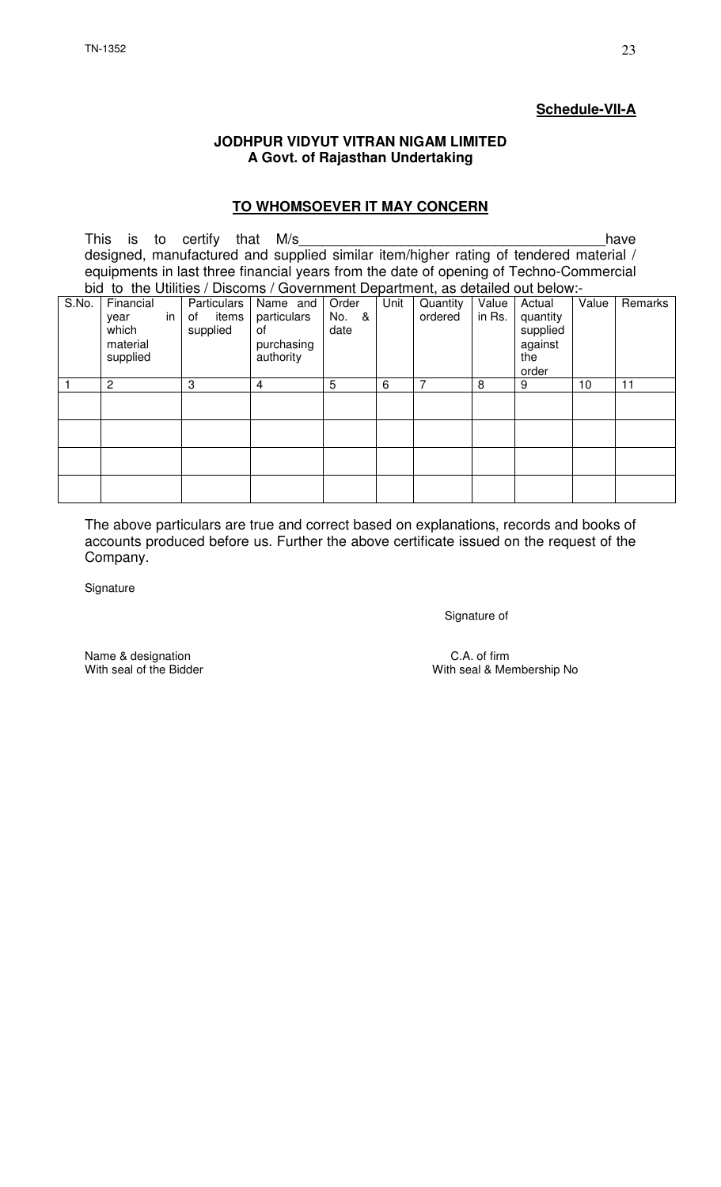# **Schedule-VII-A**

#### **JODHPUR VIDYUT VITRAN NIGAM LIMITED A Govt. of Rajasthan Undertaking**

#### **TO WHOMSOEVER IT MAY CONCERN**

This is to certify that M/s\_\_\_\_\_\_\_\_\_\_\_\_\_\_\_\_\_\_\_\_\_\_\_\_\_\_\_\_\_\_\_\_\_\_\_\_\_\_\_have designed, manufactured and supplied similar item/higher rating of tendered material / equipments in last three financial years from the date of opening of Techno-Commercial bid to the Utilities / Discoms / Government Department, as detailed out below:-<br>S.No. | Financial | Particulars | Name and | Order | Unit | Quantity | Value | Actual | Value Financial year in which material supplied Particulars<br>of items items supplied Name and particulars of purchasing .<br>authority **Order** No. & date Unit Quantity ordered Value in Rs. Actual quantity supplied against the order Remarks 1 2 3 4 5 6 7 8 9 10 11

The above particulars are true and correct based on explanations, records and books of accounts produced before us. Further the above certificate issued on the request of the Company.

**Signature** 

Signature of

Name & designation  $\blacksquare$  C.A. of firm  $\blacksquare$  C.A. of firm  $\blacksquare$  C.A. of firm  $\blacksquare$  C.A. of firm  $\blacksquare$ 

With seal & Membership No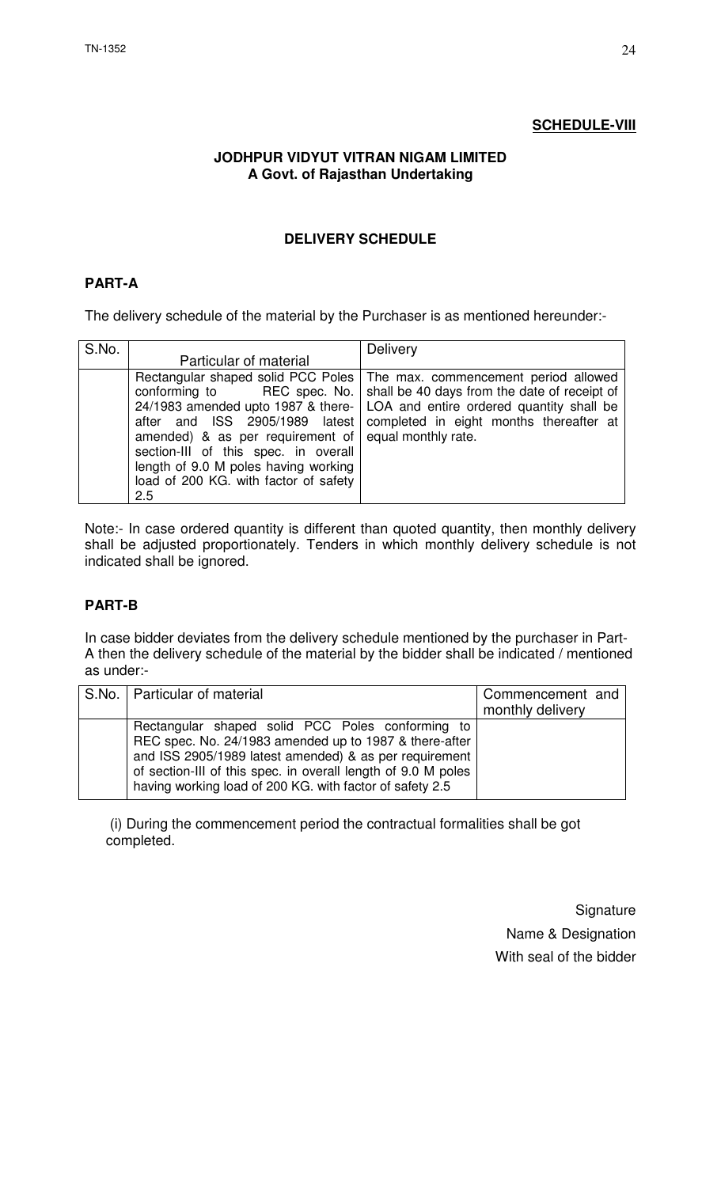## **SCHEDULE-VIII**

## **JODHPUR VIDYUT VITRAN NIGAM LIMITED A Govt. of Rajasthan Undertaking**

# **DELIVERY SCHEDULE**

# **PART-A**

The delivery schedule of the material by the Purchaser is as mentioned hereunder:-

| S.No. |                                                                                                                                                                                                           | Delivery                                                                                                                                                                                                                                                                                             |
|-------|-----------------------------------------------------------------------------------------------------------------------------------------------------------------------------------------------------------|------------------------------------------------------------------------------------------------------------------------------------------------------------------------------------------------------------------------------------------------------------------------------------------------------|
|       | Particular of material                                                                                                                                                                                    |                                                                                                                                                                                                                                                                                                      |
|       | conforming to<br>amended) & as per requirement of $ $ equal monthly rate.<br>section-III of this spec. in overall<br>length of 9.0 M poles having working<br>load of 200 KG. with factor of safety<br>2.5 | Rectangular shaped solid PCC Poles   The max. commencement period allowed<br>REC spec. No.   shall be 40 days from the date of receipt of<br>24/1983 amended upto 1987 & there-   LOA and entire ordered quantity shall be<br>after and ISS 2905/1989 latest completed in eight months thereafter at |

Note:- In case ordered quantity is different than quoted quantity, then monthly delivery shall be adjusted proportionately. Tenders in which monthly delivery schedule is not indicated shall be ignored.

# **PART-B**

In case bidder deviates from the delivery schedule mentioned by the purchaser in Part-A then the delivery schedule of the material by the bidder shall be indicated / mentioned as under:-

| S.No.   Particular of material                                                                                                                                                                                                                                                                    | Commencement and |
|---------------------------------------------------------------------------------------------------------------------------------------------------------------------------------------------------------------------------------------------------------------------------------------------------|------------------|
|                                                                                                                                                                                                                                                                                                   | monthly delivery |
| Rectangular shaped solid PCC Poles conforming to<br>REC spec. No. 24/1983 amended up to 1987 & there-after<br>and ISS 2905/1989 latest amended) & as per requirement<br>of section-III of this spec. in overall length of 9.0 M poles<br>having working load of 200 KG. with factor of safety 2.5 |                  |

 (i) During the commencement period the contractual formalities shall be got completed.

> **Signature** Name & Designation With seal of the bidder